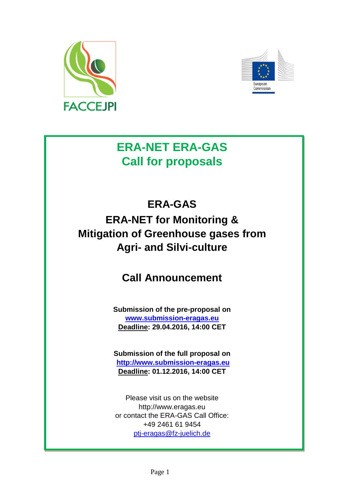



# **ERA-NET ERA-GAS Call for proposals**

# **ERA-GAS ERA-NET for Monitoring & Mitigation of Greenhouse gases from Agri- and Silvi-culture**

# **Call Announcement**

**Submission of the pre-proposal on [www.submission-eragas.e](http://www.submission-eragas./)u Deadline: 29.04.2016, 14:00 CET**

**Submission of the full proposal on [http://www.submission-eragas.eu](http://www.submission-eragas.eu/) Deadline: 01.12.2016, 14:00 CET**

Please visit us on the website http://www.eragas.eu or contact the ERA-GAS Call Office: +49 2461 61 9454 [ptj-eragas@fz-juelich.de](mailto:ptj-eragas@fz-juelich.de)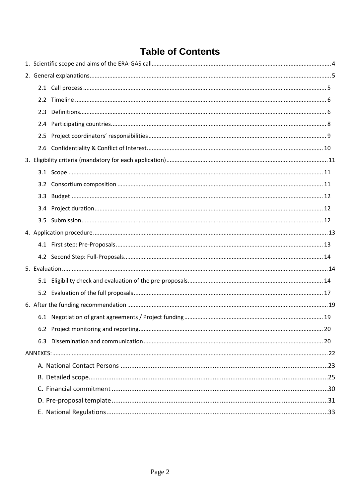# **Table of Contents**

| 2.3 |  |
|-----|--|
|     |  |
|     |  |
|     |  |
|     |  |
|     |  |
|     |  |
| 3.3 |  |
|     |  |
|     |  |
|     |  |
|     |  |
|     |  |
|     |  |
|     |  |
|     |  |
|     |  |
|     |  |
|     |  |
|     |  |
|     |  |
|     |  |
|     |  |
|     |  |
|     |  |
|     |  |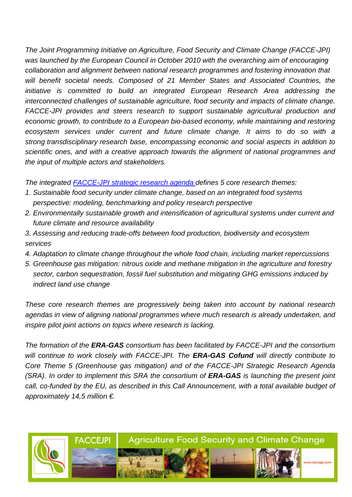*The Joint Programming Initiative on Agriculture, Food Security and Climate Change (FACCE-JPI) was launched by the European Council in October 2010 with the overarching aim of encouraging collaboration and alignment between national research programmes and fostering innovation that will benefit societal needs. Composed of 21 Member States and Associated Countries, the initiative is committed to build an integrated European Research Area addressing the interconnected challenges of sustainable agriculture, food security and impacts of climate change. FACCE-JPI provides and steers research to support sustainable agricultural production and economic growth, to contribute to a European bio-based economy, while maintaining and restoring ecosystem services under current and future climate change. It aims to do so with a strong transdisciplinary research base, encompassing economic and social aspects in addition to scientific ones, and with a creative approach towards the alignment of national programmes and the input of multiple actors and stakeholders.*

*The integrated [FACCE-JPI strategic research agenda](http://www.faccejpi.com/Strategic-Research-Agenda) defines 5 core research themes:*

- *1. Sustainable food security under climate change, based on an integrated food systems perspective: modeling, benchmarking and policy research perspective*
- *2. Environmentally sustainable growth and intensification of agricultural systems under current and future climate and resource availability*
- *3. Assessing and reducing trade-offs between food production, biodiversity and ecosystem services*
- *4. Adaptation to climate change throughout the whole food chain, including market repercussions*
- *5. Greenhouse gas mitigation: nitrous oxide and methane mitigation in the agriculture and forestry sector, carbon sequestration, fossil fuel substitution and mitigating GHG emissions induced by indirect land use change*

*These core research themes are progressively being taken into account by national research agendas in view of aligning national programmes where much research is already undertaken, and inspire pilot joint actions on topics where research is lacking.*

*The formation of the ERA-GAS consortium has been facilitated by FACCE-JPI and the consortium will continue to work closely with FACCE-JPI. The ERA-GAS Cofund will directly contribute to Core Theme 5 (Greenhouse gas mitigation) and of the FACCE-JPI Strategic Research Agenda (SRA). In order to implement this SRA the consortium of ERA-GAS is launching the present joint*  call, co-funded by the EU, as described in this Call Announcement, with a total available budget of *approximately 14,5 million €.*

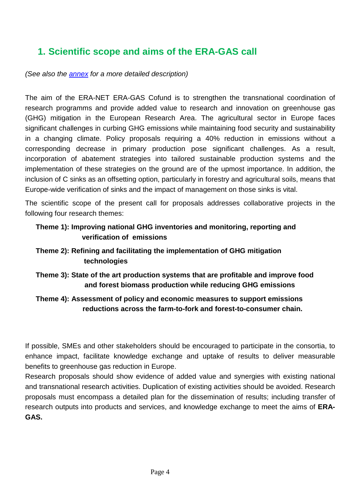# <span id="page-3-0"></span>**1. Scientific scope and aims of the ERA-GAS call**

*(See also the [annex](#page-24-0) for a more detailed description)*

The aim of the ERA-NET ERA-GAS Cofund is to strengthen the transnational coordination of research programms and provide added value to research and innovation on greenhouse gas (GHG) mitigation in the European Research Area. The agricultural sector in Europe faces significant challenges in curbing GHG emissions while maintaining food security and sustainability in a changing climate. Policy proposals requiring a 40% reduction in emissions without a corresponding decrease in primary production pose significant challenges. As a result, incorporation of abatement strategies into tailored sustainable production systems and the implementation of these strategies on the ground are of the upmost importance. In addition, the inclusion of C sinks as an offsetting option, particularly in forestry and agricultural soils, means that Europe-wide verification of sinks and the impact of management on those sinks is vital.

The scientific scope of the present call for proposals addresses collaborative projects in the following four research themes:

## **Theme 1): Improving national GHG inventories and monitoring, reporting and verification of emissions**

## **Theme 2): Refining and facilitating the implementation of GHG mitigation technologies**

## **Theme 3): State of the art production systems that are profitable and improve food and forest biomass production while reducing GHG emissions**

## **Theme 4): Assessment of policy and economic measures to support emissions reductions across the farm-to-fork and forest-to-consumer chain.**

If possible, SMEs and other stakeholders should be encouraged to participate in the consortia, to enhance impact, facilitate knowledge exchange and uptake of results to deliver measurable benefits to greenhouse gas reduction in Europe.

Research proposals should show evidence of added value and synergies with existing national and transnational research activities. Duplication of existing activities should be avoided. Research proposals must encompass a detailed plan for the dissemination of results; including transfer of research outputs into products and services, and knowledge exchange to meet the aims of **ERA-GAS.**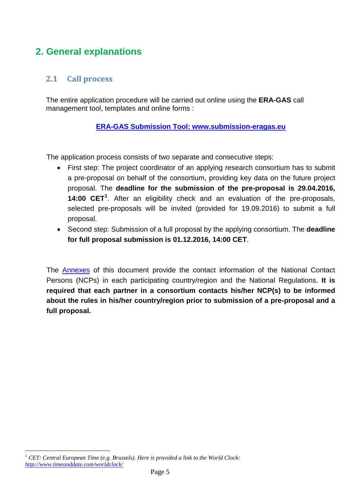# <span id="page-4-0"></span>**2. General explanations**

# <span id="page-4-1"></span>**2.1 Call process**

The entire application procedure will be carried out online using the **ERA-GAS** call management tool, templates and online forms :

## **ERA-GAS Submission Tool: www[.submission-](http://www.submission-eragas.eu/)eragas.eu**

The application process consists of two separate and consecutive steps:

- First step: The project coordinator of an applying research consortium has to submit a pre-proposal on behalf of the consortium, providing key data on the future project proposal. The **deadline for the submission of the pre-proposal is 29.04.2016, 14:00 CET[1](#page-4-2)** . After an eligibility check and an evaluation of the pre-proposals, selected pre-proposals will be invited (provided for 19.09.2016) to submit a full proposal.
- Second step: Submission of a full proposal by the applying consortium. The **deadline for full proposal submission is 01.12.2016, 14:00 CET**.

The [Annexes](#page-22-1) of this document provide the contact information of the National Contact Persons (NCPs) in each participating country/region and the National Regulations. **It is required that each partner in a consortium contacts his/her NCP(s) to be informed about the rules in his/her country/region prior to submission of a pre-proposal and a full proposal.**

<span id="page-4-2"></span><sup>1</sup> *CET: Central European Time (e.g. Brussels). Here is provided a link to the World Clock: <http://www.timeanddate.com/worldclock/>*  $\overline{a}$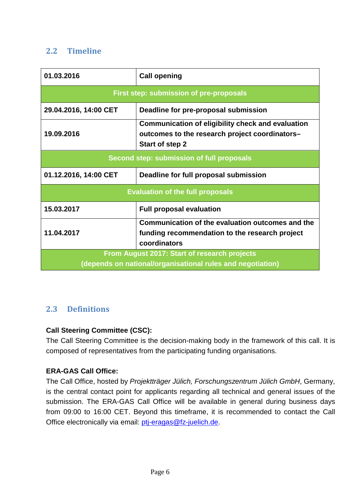# <span id="page-5-0"></span>**2.2 Timeline**

| 01.03.2016                                                                                                 | <b>Call opening</b>                                                                                                                  |  |  |  |  |
|------------------------------------------------------------------------------------------------------------|--------------------------------------------------------------------------------------------------------------------------------------|--|--|--|--|
|                                                                                                            | First step: submission of pre-proposals                                                                                              |  |  |  |  |
| 29.04.2016, 14:00 CET<br>Deadline for pre-proposal submission                                              |                                                                                                                                      |  |  |  |  |
| 19.09.2016                                                                                                 | <b>Communication of eligibility check and evaluation</b><br>outcomes to the research project coordinators-<br><b>Start of step 2</b> |  |  |  |  |
| Second step: submission of full proposals                                                                  |                                                                                                                                      |  |  |  |  |
| 01.12.2016, 14:00 CET                                                                                      | Deadline for full proposal submission                                                                                                |  |  |  |  |
|                                                                                                            | <b>Evaluation of the full proposals</b>                                                                                              |  |  |  |  |
| 15.03.2017                                                                                                 | <b>Full proposal evaluation</b>                                                                                                      |  |  |  |  |
| 11.04.2017                                                                                                 | Communication of the evaluation outcomes and the<br>funding recommendation to the research project<br>coordinators                   |  |  |  |  |
| From August 2017: Start of research projects<br>(depends on national/organisational rules and negotiation) |                                                                                                                                      |  |  |  |  |

## <span id="page-5-1"></span>**2.3 Definitions**

### **Call Steering Committee (CSC):**

The Call Steering Committee is the decision-making body in the framework of this call. It is composed of representatives from the participating funding organisations.

### **ERA-GAS Call Office:**

The Call Office, hosted by *Projektträger Jülich, Forschungszentrum Jülich GmbH*, Germany, is the central contact point for applicants regarding all technical and general issues of the submission. The ERA-GAS Call Office will be available in general during business days from 09:00 to 16:00 CET. Beyond this timeframe, it is recommended to contact the Call Office electronically via email: [ptj-eragas@fz-juelich.de.](mailto:ptj-eragas@fz-juelich.de)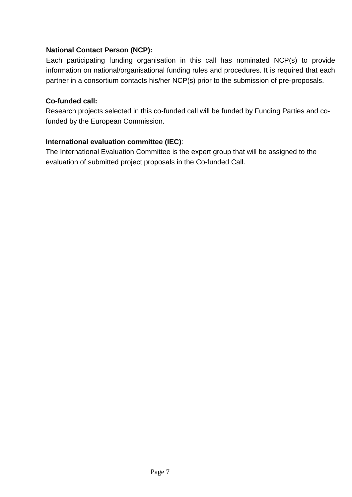### **National Contact Person (NCP):**

Each participating funding organisation in this call has nominated NCP(s) to provide information on national/organisational funding rules and procedures. It is required that each partner in a consortium contacts his/her NCP(s) prior to the submission of pre-proposals.

### **Co-funded call:**

Research projects selected in this co-funded call will be funded by Funding Parties and cofunded by the European Commission.

### **International evaluation committee (IEC)**:

The International Evaluation Committee is the expert group that will be assigned to the evaluation of submitted project proposals in the Co-funded Call.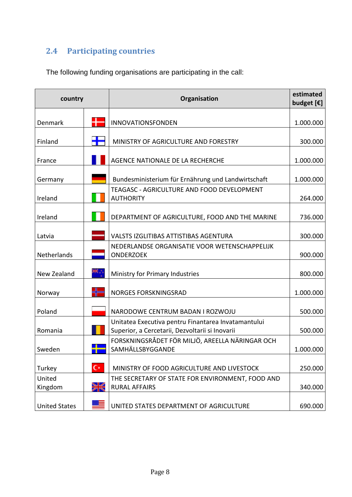# <span id="page-7-0"></span>**2.4 Participating countries**

The following funding organisations are participating in the call:

| country              |       | Organisation                                                        | estimated<br>budget $[\mathbf{\epsilon}]$ |
|----------------------|-------|---------------------------------------------------------------------|-------------------------------------------|
| Denmark              |       | INNOVATIONSFONDEN                                                   | 1.000.000                                 |
|                      |       |                                                                     |                                           |
| Finland              |       | MINISTRY OF AGRICULTURE AND FORESTRY                                | 300.000                                   |
| France               |       | AGENCE NATIONALE DE LA RECHERCHE                                    | 1.000.000                                 |
| Germany              |       | Bundesministerium für Ernährung und Landwirtschaft                  | 1.000.000                                 |
|                      |       | TEAGASC - AGRICULTURE AND FOOD DEVELOPMENT                          |                                           |
| Ireland              |       | <b>AUTHORITY</b>                                                    | 264.000                                   |
| Ireland              |       | DEPARTMENT OF AGRICULTURE, FOOD AND THE MARINE                      | 736.000                                   |
| Latvia               |       | VALSTS IZGLITIBAS ATTISTIBAS AGENTURA                               | 300.000                                   |
| Netherlands          |       | NEDERLANDSE ORGANISATIE VOOR WETENSCHAPPELIJK<br><b>ONDERZOEK</b>   | 900.000                                   |
| New Zealand          |       | Ministry for Primary Industries                                     | 800.000                                   |
|                      |       |                                                                     |                                           |
| Norway               |       | <b>NORGES FORSKNINGSRAD</b>                                         | 1.000.000                                 |
| Poland               |       | NARODOWE CENTRUM BADAN I ROZWOJU                                    | 500.000                                   |
|                      |       | Unitatea Executiva pentru Finantarea Invatamantului                 |                                           |
| Romania              |       | Superior, a Cercetarii, Dezvoltarii si Inovarii                     | 500.000                                   |
| Sweden               |       | FORSKNINGSRÅDET FÖR MILJÖ, AREELLA NÄRINGAR OCH<br>SAMHÄLLSBYGGANDE | 1.000.000                                 |
|                      |       |                                                                     |                                           |
| Turkey               | $C^*$ | MINISTRY OF FOOD AGRICULTURE AND LIVESTOCK                          | 250.000                                   |
| United               |       | THE SECRETARY OF STATE FOR ENVIRONMENT, FOOD AND                    |                                           |
| Kingdom              | ☀     | <b>RURAL AFFAIRS</b>                                                | 340.000                                   |
| <b>United States</b> |       | UNITED STATES DEPARTMENT OF AGRICULTURE                             | 690.000                                   |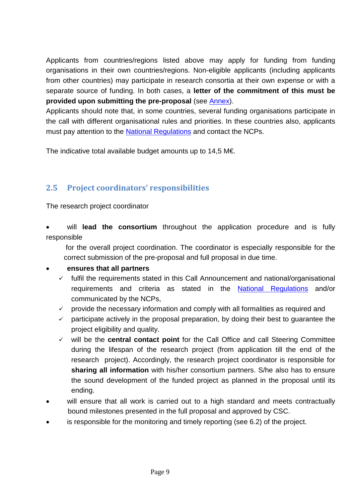Applicants from countries/regions listed above may apply for funding from funding organisations in their own countries/regions. Non-eligible applicants (including applicants from other countries) may participate in research consortia at their own expense or with a separate source of funding. In both cases, a **letter of the commitment of this must be provided upon submitting the pre-proposal** (see [Annex\)](#page-29-0).

Applicants should note that, in some countries, several funding organisations participate in the call with different organisational rules and priorities. In these countries also, applicants must pay attention to the [National Regulations](#page-32-0) and contact the NCPs.

The indicative total available budget amounts up to 14,5 M€.

# <span id="page-8-0"></span>**2.5 Project coordinators' responsibilities**

The research project coordinator

will **lead the consortium** throughout the application procedure and is fully responsible

 for the overall project coordination. The coordinator is especially responsible for the correct submission of the pre-proposal and full proposal in due time.

## • **ensures that all partners**

- $\checkmark$  fulfil the requirements stated in this Call Announcement and national/organisational requirements and criteria as stated in the [National Regulations](#page-32-0) and/or communicated by the NCPs,
- $\checkmark$  provide the necessary information and comply with all formalities as required and
- $\checkmark$  participate actively in the proposal preparation, by doing their best to guarantee the project eligibility and quality.
- $\checkmark$  will be the **central contact point** for the Call Office and call Steering Committee during the lifespan of the research project (from application till the end of the research project). Accordingly, the research project coordinator is responsible for **sharing all information** with his/her consortium partners. S/he also has to ensure the sound development of the funded project as planned in the proposal until its ending.
- will ensure that all work is carried out to a high standard and meets contractually bound milestones presented in the full proposal and approved by CSC.
- is responsible for the monitoring and timely reporting (see 6.2) of the project.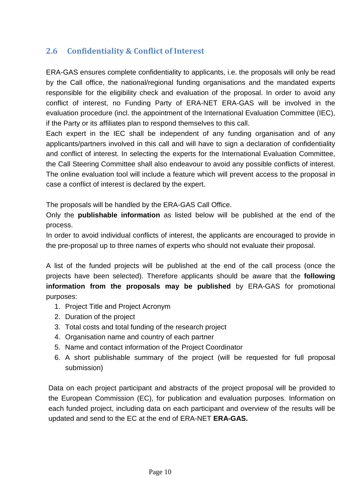# <span id="page-9-0"></span>**2.6 Confidentiality & Conflict of Interest**

ERA-GAS ensures complete confidentiality to applicants, i.e. the proposals will only be read by the Call office, the national/regional funding organisations and the mandated experts responsible for the eligibility check and evaluation of the proposal. In order to avoid any conflict of interest, no Funding Party of ERA-NET ERA-GAS will be involved in the evaluation procedure (incl. the appointment of the International Evaluation Committee (IEC), if the Party or its affiliates plan to respond themselves to this call.

Each expert in the IEC shall be independent of any funding organisation and of any applicants/partners involved in this call and will have to sign a declaration of confidentiality and conflict of interest. In selecting the experts for the International Evaluation Committee, the Call Steering Committee shall also endeavour to avoid any possible conflicts of interest. The online evaluation tool will include a feature which will prevent access to the proposal in case a conflict of interest is declared by the expert.

The proposals will be handled by the ERA-GAS Call Office.

Only the **publishable information** as listed below will be published at the end of the process.

In order to avoid individual conflicts of interest, the applicants are encouraged to provide in the pre-proposal up to three names of experts who should not evaluate their proposal.

A list of the funded projects will be published at the end of the call process (once the projects have been selected). Therefore applicants should be aware that the **following information from the proposals may be published** by ERA-GAS for promotional purposes:

- 1. Project Title and Project Acronym
- 2. Duration of the project
- 3. Total costs and total funding of the research project
- 4. Organisation name and country of each partner
- 5. Name and contact information of the Project Coordinator
- 6. A short publishable summary of the project (will be requested for full proposal submission)

Data on each project participant and abstracts of the project proposal will be provided to the European Commission (EC), for publication and evaluation purposes. Information on each funded project, including data on each participant and overview of the results will be updated and send to the EC at the end of ERA-NET **ERA-GAS.**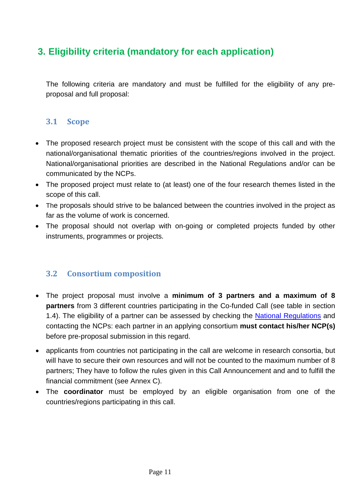# <span id="page-10-0"></span>**3. Eligibility criteria (mandatory for each application)**

The following criteria are mandatory and must be fulfilled for the eligibility of any preproposal and full proposal:

## <span id="page-10-1"></span>**3.1 Scope**

- The proposed research project must be consistent with the scope of this call and with the national/organisational thematic priorities of the countries/regions involved in the project. National/organisational priorities are described in the National Regulations and/or can be communicated by the NCPs.
- The proposed project must relate to (at least) one of the four research themes listed in the scope of this call.
- The proposals should strive to be balanced between the countries involved in the project as far as the volume of work is concerned.
- The proposal should not overlap with on-going or completed projects funded by other instruments, programmes or projects.

## <span id="page-10-2"></span>**3.2 Consortium composition**

- The project proposal must involve a **minimum of 3 partners and a maximum of 8 partners** from 3 different countries participating in the Co-funded Call (see table in section 1.4). The eligibility of a partner can be assessed by checking the [National Regulations](#page-32-0) and contacting the NCPs: each partner in an applying consortium **must contact his/her NCP(s)** before pre-proposal submission in this regard.
- applicants from countries not participating in the call are welcome in research consortia, but will have to secure their own resources and will not be counted to the maximum number of 8 partners; They have to follow the rules given in this Call Announcement and and to fulfill the financial commitment (see Annex C).
- The **coordinator** must be employed by an eligible organisation from one of the countries/regions participating in this call.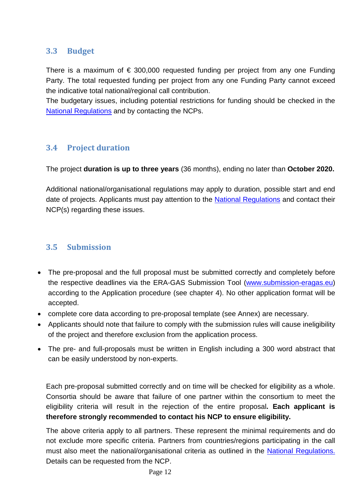# <span id="page-11-0"></span>**3.3 Budget**

There is a maximum of  $\epsilon$  300,000 requested funding per project from any one Funding Party. The total requested funding per project from any one Funding Party cannot exceed the indicative total national/regional call contribution.

The budgetary issues, including potential restrictions for funding should be checked in the [National Regulations](#page-32-0) and by contacting the NCPs.

# <span id="page-11-1"></span>**3.4 Project duration**

The project **duration is up to three years** (36 months), ending no later than **October 2020.** 

Additional national/organisational regulations may apply to duration, possible start and end date of projects. Applicants must pay attention to the [National Regulations](#page-32-0) and contact their NCP(s) regarding these issues.

# <span id="page-11-2"></span>**3.5 Submission**

- The pre-proposal and the full proposal must be submitted correctly and completely before the respective deadlines via the ERA-GAS Submission Tool [\(www.submission-eragas.](http://www.submission-eragas/)eu) according to the Application procedure (see chapter 4). No other application format will be accepted.
- complete core data according to pre-proposal template (see Annex) are necessary.
- Applicants should note that failure to comply with the submission rules will cause ineligibility of the project and therefore exclusion from the application process.
- The pre- and full-proposals must be written in English including a 300 word abstract that can be easily understood by non-experts.

Each pre-proposal submitted correctly and on time will be checked for eligibility as a whole. Consortia should be aware that failure of one partner within the consortium to meet the eligibility criteria will result in the rejection of the entire proposal**. Each applicant is therefore strongly recommended to contact his NCP to ensure eligibility.**

The above criteria apply to all partners. These represent the minimal requirements and do not exclude more specific criteria. Partners from countries/regions participating in the call must also meet the national/organisational criteria as outlined in the [National Regulations.](#page-32-0) Details can be requested from the NCP.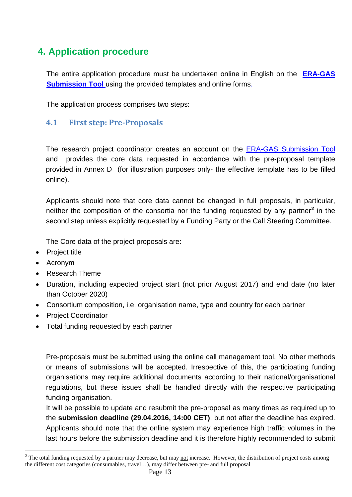# <span id="page-12-0"></span>**4. Application procedure**

The entire application procedure must be undertaken online in English on the **[ERA-GAS](http://www.submission-eragas.eu/) [Submission](http://www.submission-eragas.eu/) Tool** using the provided templates and online forms.

The application process comprises two steps:

## <span id="page-12-1"></span>**4.1 First step: Pre-Proposals**

The research project coordinator creates an account on the [ERA-GAS Submission Tool](http://www.submission-eragas.eu/) and provides the core data requested in accordance with the pre-proposal template provided in Annex D (for illustration purposes only- the effective template has to be filled online).

Applicants should note that core data cannot be changed in full proposals, in particular, neither the composition of the consortia nor the funding requested by any partner**[2](#page-12-2)** in the second step unless explicitly requested by a Funding Party or the Call Steering Committee.

The Core data of the project proposals are:

- Project title
- Acronym

 $\overline{a}$ 

- Research Theme
- Duration, including expected project start (not prior August 2017) and end date (no later than October 2020)
- Consortium composition, i.e. organisation name, type and country for each partner
- Project Coordinator
- Total funding requested by each partner

Pre-proposals must be submitted using the online call management tool. No other methods or means of submissions will be accepted. Irrespective of this, the participating funding organisations may require additional documents according to their national/organisational regulations, but these issues shall be handled directly with the respective participating funding organisation.

It will be possible to update and resubmit the pre-proposal as many times as required up to the **submission deadline (29.04.2016, 14:00 CET)**, but not after the deadline has expired. Applicants should note that the online system may experience high traffic volumes in the last hours before the submission deadline and it is therefore highly recommended to submit

<span id="page-12-2"></span> $2$  The total funding requested by a partner may decrease, but may not increase. However, the distribution of project costs among the different cost categories (consumables, travel…), may differ between pre- and full proposal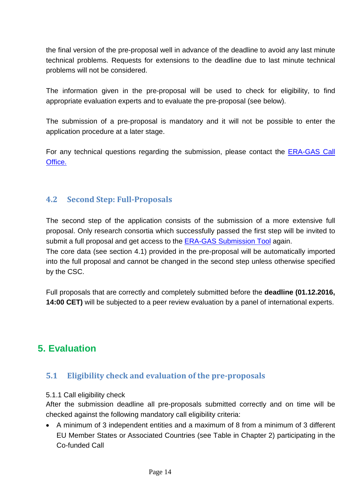the final version of the pre-proposal well in advance of the deadline to avoid any last minute technical problems. Requests for extensions to the deadline due to last minute technical problems will not be considered.

The information given in the pre-proposal will be used to check for eligibility, to find appropriate evaluation experts and to evaluate the pre-proposal (see below).

The submission of a pre-proposal is mandatory and it will not be possible to enter the application procedure at a later stage.

For any technical questions regarding the submission, please contact the [ERA-GAS Call](mailto:ptj-eragas@fz-juelich.de)  [Office.](mailto:ptj-eragas@fz-juelich.de)

## <span id="page-13-0"></span>**4.2 Second Step: Full-Proposals**

The second step of the application consists of the submission of a more extensive full proposal. Only research consortia which successfully passed the first step will be invited to submit a full proposal and get access to the **ERA-GAS [Submission Tool](http://www.submission-eragas.eu/)** again. The core data (see section 4.1) provided in the pre-proposal will be automatically imported into the full proposal and cannot be changed in the second step unless otherwise specified by the CSC.

Full proposals that are correctly and completely submitted before the **deadline (01.12.2016, 14:00 CET)** will be subjected to a peer review evaluation by a panel of international experts.

# <span id="page-13-1"></span>**5. Evaluation**

## <span id="page-13-2"></span>**5.1 Eligibility check and evaluation of the pre-proposals**

### 5.1.1 Call eligibility check

After the submission deadline all pre-proposals submitted correctly and on time will be checked against the following mandatory call eligibility criteria:

• A minimum of 3 independent entities and a maximum of 8 from a minimum of 3 different EU Member States or Associated Countries (see Table in Chapter 2) participating in the Co-funded Call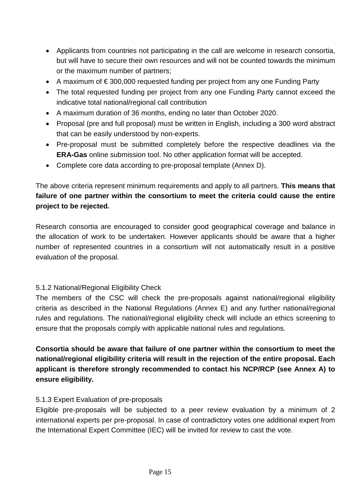- Applicants from countries not participating in the call are welcome in research consortia, but will have to secure their own resources and will not be counted towards the minimum or the maximum number of partners;
- A maximum of € 300,000 requested funding per project from any one Funding Party
- The total requested funding per project from any one Funding Party cannot exceed the indicative total national/regional call contribution
- A maximum duration of 36 months, ending no later than October 2020.
- Proposal (pre and full proposal) must be written in English, including a 300 word abstract that can be easily understood by non-experts.
- Pre-proposal must be submitted completely before the respective deadlines via the **ERA-Gas** online submission tool. No other application format will be accepted.
- Complete core data according to pre-proposal template (Annex D).

The above criteria represent minimum requirements and apply to all partners. **This means that failure of one partner within the consortium to meet the criteria could cause the entire project to be rejected.** 

Research consortia are encouraged to consider good geographical coverage and balance in the allocation of work to be undertaken. However applicants should be aware that a higher number of represented countries in a consortium will not automatically result in a positive evaluation of the proposal.

## 5.1.2 National/Regional Eligibility Check

The members of the CSC will check the pre-proposals against national/regional eligibility criteria as described in the National Regulations (Annex E) and any further national/regional rules and regulations. The national/regional eligibility check will include an ethics screening to ensure that the proposals comply with applicable national rules and regulations.

**Consortia should be aware that failure of one partner within the consortium to meet the national/regional eligibility criteria will result in the rejection of the entire proposal. Each applicant is therefore strongly recommended to contact his NCP/RCP (see Annex A) to ensure eligibility.**

### 5.1.3 Expert Evaluation of pre-proposals

Eligible pre-proposals will be subjected to a peer review evaluation by a minimum of 2 international experts per pre-proposal. In case of contradictory votes one additional expert from the International Expert Committee (IEC) will be invited for review to cast the vote.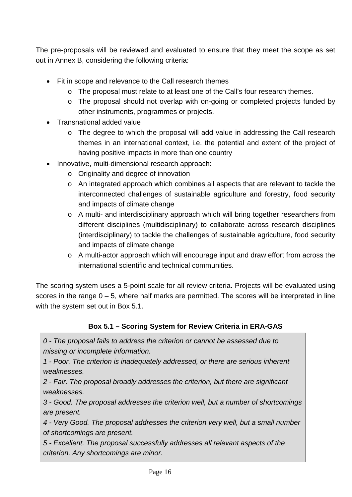The pre-proposals will be reviewed and evaluated to ensure that they meet the scope as set out in Annex B, considering the following criteria:

- Fit in scope and relevance to the Call research themes
	- o The proposal must relate to at least one of the Call's four research themes.
	- o The proposal should not overlap with on-going or completed projects funded by other instruments, programmes or projects.
- Transnational added value
	- $\circ$  The degree to which the proposal will add value in addressing the Call research themes in an international context, i.e. the potential and extent of the project of having positive impacts in more than one country
- Innovative, multi-dimensional research approach:
	- o Originality and degree of innovation
	- o An integrated approach which combines all aspects that are relevant to tackle the interconnected challenges of sustainable agriculture and forestry, food security and impacts of climate change
	- o A multi- and interdisciplinary approach which will bring together researchers from different disciplines (multidisciplinary) to collaborate across research disciplines (interdisciplinary) to tackle the challenges of sustainable agriculture, food security and impacts of climate change
	- o A multi-actor approach which will encourage input and draw effort from across the international scientific and technical communities.

The scoring system uses a 5-point scale for all review criteria. Projects will be evaluated using scores in the range  $0 - 5$ , where half marks are permitted. The scores will be interpreted in line with the system set out in Box 5.1.

## **Box 5.1 – Scoring System for Review Criteria in ERA-GAS**

*0 - The proposal fails to address the criterion or cannot be assessed due to missing or incomplete information.* 

*1 - Poor. The criterion is inadequately addressed, or there are serious inherent weaknesses.* 

*2 - Fair. The proposal broadly addresses the criterion, but there are significant weaknesses.* 

*3 - Good. The proposal addresses the criterion well, but a number of shortcomings are present.* 

*4 - Very Good. The proposal addresses the criterion very well, but a small number of shortcomings are present.* 

*5 - Excellent. The proposal successfully addresses all relevant aspects of the criterion. Any shortcomings are minor.*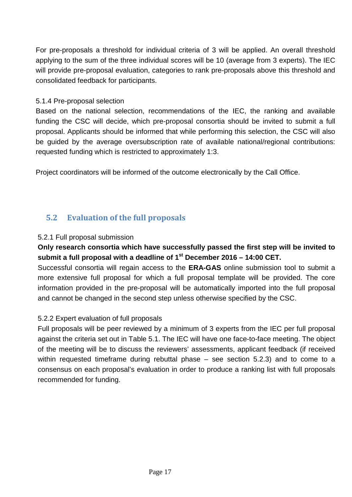For pre-proposals a threshold for individual criteria of 3 will be applied. An overall threshold applying to the sum of the three individual scores will be 10 (average from 3 experts). The IEC will provide pre-proposal evaluation, categories to rank pre-proposals above this threshold and consolidated feedback for participants.

### 5.1.4 Pre-proposal selection

Based on the national selection, recommendations of the IEC, the ranking and available funding the CSC will decide, which pre-proposal consortia should be invited to submit a full proposal. Applicants should be informed that while performing this selection, the CSC will also be guided by the average oversubscription rate of available national/regional contributions: requested funding which is restricted to approximately 1:3.

Project coordinators will be informed of the outcome electronically by the Call Office.

# <span id="page-16-0"></span>**5.2 Evaluation of the full proposals**

### 5.2.1 Full proposal submission

## **Only research consortia which have successfully passed the first step will be invited to submit a full proposal with a deadline of 1st December 2016 – 14:00 CET.**

Successful consortia will regain access to the **ERA-GAS** online submission tool to submit a more extensive full proposal for which a full proposal template will be provided. The core information provided in the pre-proposal will be automatically imported into the full proposal and cannot be changed in the second step unless otherwise specified by the CSC.

## 5.2.2 Expert evaluation of full proposals

Full proposals will be peer reviewed by a minimum of 3 experts from the IEC per full proposal against the criteria set out in Table 5.1. The IEC will have one face-to-face meeting. The object of the meeting will be to discuss the reviewers' assessments, applicant feedback (if received within requested timeframe during rebuttal phase – see section 5.2.3) and to come to a consensus on each proposal's evaluation in order to produce a ranking list with full proposals recommended for funding.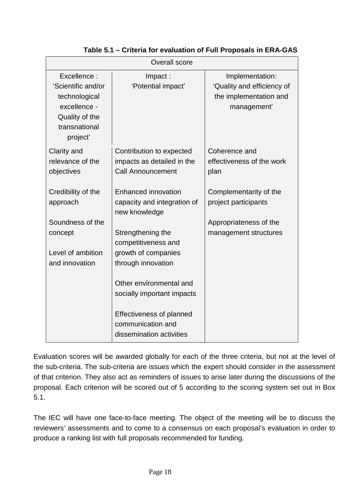| <b>Overall score</b>                                                                                                                                  |                                                                                                                                                                                                                                                           |                                                                                                                                                         |  |  |  |  |
|-------------------------------------------------------------------------------------------------------------------------------------------------------|-----------------------------------------------------------------------------------------------------------------------------------------------------------------------------------------------------------------------------------------------------------|---------------------------------------------------------------------------------------------------------------------------------------------------------|--|--|--|--|
| Excellence:<br>'Scientific and/or<br>technological<br>excellence -<br>Quality of the<br>transnational<br>project'                                     | Impact:<br>'Potential impact'                                                                                                                                                                                                                             | Implementation:<br>'Quality and efficiency of<br>the implementation and<br>management'                                                                  |  |  |  |  |
| Clarity and<br>relevance of the<br>objectives<br>Credibility of the<br>approach<br>Soundness of the<br>concept<br>Level of ambition<br>and innovation | Contribution to expected<br>impacts as detailed in the<br><b>Call Announcement</b><br><b>Enhanced innovation</b><br>capacity and integration of<br>new knowledge<br>Strengthening the<br>competitiveness and<br>growth of companies<br>through innovation | Coherence and<br>effectiveness of the work<br>plan<br>Complementarity of the<br>project participants<br>Appropriateness of the<br>management structures |  |  |  |  |
|                                                                                                                                                       | Other environmental and<br>socially important impacts<br><b>Effectiveness of planned</b><br>communication and<br>dissemination activities                                                                                                                 |                                                                                                                                                         |  |  |  |  |

**Table 5.1 – Criteria for evaluation of Full Proposals in ERA-GAS**

Evaluation scores will be awarded globally for each of the three criteria, but not at the level of the sub-criteria. The sub-criteria are issues which the expert should consider in the assessment of that criterion. They also act as reminders of issues to arise later during the discussions of the proposal. Each criterion will be scored out of 5 according to the scoring system set out in Box 5.1.

The IEC will have one face-to-face meeting. The object of the meeting will be to discuss the reviewers' assessments and to come to a consensus on each proposal's evaluation in order to produce a ranking list with full proposals recommended for funding.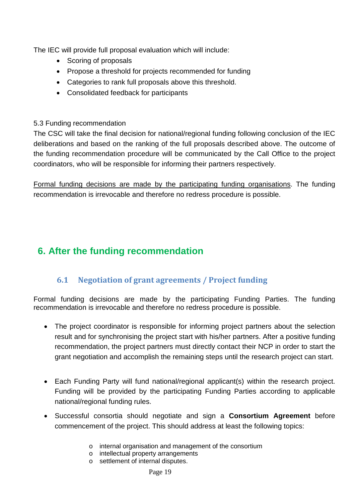The IEC will provide full proposal evaluation which will include:

- Scoring of proposals
- Propose a threshold for projects recommended for funding
- Categories to rank full proposals above this threshold.
- Consolidated feedback for participants

## 5.3 Funding recommendation

The CSC will take the final decision for national/regional funding following conclusion of the IEC deliberations and based on the ranking of the full proposals described above. The outcome of the funding recommendation procedure will be communicated by the Call Office to the project coordinators, who will be responsible for informing their partners respectively.

Formal funding decisions are made by the participating funding organisations. The funding recommendation is irrevocable and therefore no redress procedure is possible.

# <span id="page-18-1"></span><span id="page-18-0"></span>**6. After the funding recommendation**

# **6.1 Negotiation of grant agreements / Project funding**

Formal funding decisions are made by the participating Funding Parties. The funding recommendation is irrevocable and therefore no redress procedure is possible.

- The project coordinator is responsible for informing project partners about the selection result and for synchronising the project start with his/her partners. After a positive funding recommendation, the project partners must directly contact their NCP in order to start the grant negotiation and accomplish the remaining steps until the research project can start.
- Each Funding Party will fund national/regional applicant(s) within the research project. Funding will be provided by the participating Funding Parties according to applicable national/regional funding rules.
- Successful consortia should negotiate and sign a **Consortium Agreement** before commencement of the project. This should address at least the following topics:
	- o internal organisation and management of the consortium
	- o intellectual property arrangements
	- o settlement of internal disputes.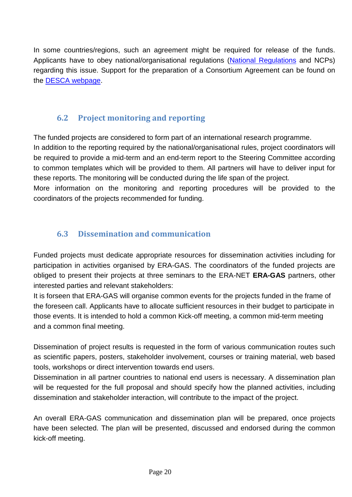In some countries/regions, such an agreement might be required for release of the funds. Applicants have to obey national/organisational regulations [\(National Regulations](#page-32-0) and NCPs) regarding this issue. Support for the preparation of a Consortium Agreement can be found on the [DESCA webpage.](http://www.desca-2020.eu/)

# **6.2 Project monitoring and reporting**

<span id="page-19-0"></span>The funded projects are considered to form part of an international research programme.

In addition to the reporting required by the national/organisational rules, project coordinators will be required to provide a mid-term and an end-term report to the Steering Committee according to common templates which will be provided to them. All partners will have to deliver input for these reports. The monitoring will be conducted during the life span of the project.

More information on the monitoring and reporting procedures will be provided to the coordinators of the projects recommended for funding.

# **6.3 Dissemination and communication**

<span id="page-19-1"></span>Funded projects must dedicate appropriate resources for dissemination activities including for participation in activities organised by ERA-GAS. The coordinators of the funded projects are obliged to present their projects at three seminars to the ERA-NET **ERA-GAS** partners, other interested parties and relevant stakeholders:

It is forseen that ERA-GAS will organise common events for the projects funded in the frame of the foreseen call. Applicants have to allocate sufficient resources in their budget to participate in those events. It is intended to hold a common Kick-off meeting, a common mid-term meeting and a common final meeting.

Dissemination of project results is requested in the form of various communication routes such as scientific papers, posters, stakeholder involvement, courses or training material, web based tools, workshops or direct intervention towards end users.

Dissemination in all partner countries to national end users is necessary. A dissemination plan will be requested for the full proposal and should specify how the planned activities, including dissemination and stakeholder interaction, will contribute to the impact of the project.

An overall ERA-GAS communication and dissemination plan will be prepared, once projects have been selected. The plan will be presented, discussed and endorsed during the common kick-off meeting.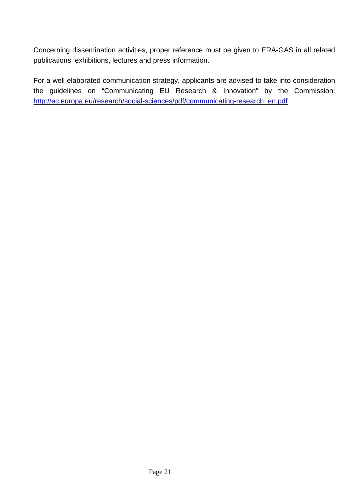Concerning dissemination activities, proper reference must be given to ERA-GAS in all related publications, exhibitions, lectures and press information.

For a well elaborated communication strategy, applicants are advised to take into consideration the guidelines on "Communicating EU Research & Innovation" by the Commission: [http://ec.europa.eu/research/social-sciences/pdf/communicating-research\\_en.pdf](http://ec.europa.eu/research/social-sciences/pdf/communicating-research_en.pdf)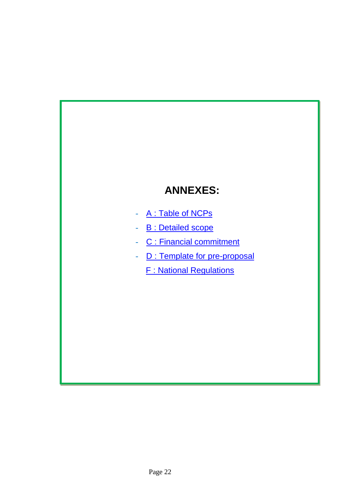# **ANNEXES:**

- A: Table of NCPs
- **B** : Detailed scope
- C : Financial commitment
- **D** : Template for pre-proposal
	- F : National Regulations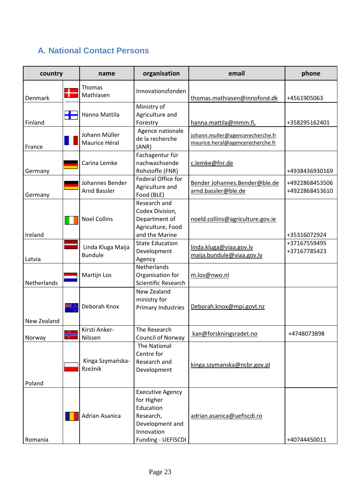# <span id="page-22-1"></span><span id="page-22-0"></span>**A. National Contact Persons**

| country     |   | name                                   | organisation                                                                                                           | email                                                                | phone                            |
|-------------|---|----------------------------------------|------------------------------------------------------------------------------------------------------------------------|----------------------------------------------------------------------|----------------------------------|
| Denmark     |   | <b>Thomas</b><br>Mathiasen             | Innovationsfonden                                                                                                      | thomas.mathiasen@innofond.dk                                         | +4561905063                      |
| Finland     | Ŧ | Hanna Mattila                          | Ministry of<br>Agriculture and<br>Forestry                                                                             | hanna.mattila@mmm.fi,                                                | +358295162401                    |
| France      |   | Johann Müller<br>Maurice Héral         | Agence nationale<br>de la recherche<br>(ANR)                                                                           | johann.muller@agencerecherche.fr<br>maurice.heral@agencerecherche.fr |                                  |
| Germany     |   | Carina Lemke                           | Fachagentur für<br>nachwachsende<br>Rohstoffe (FNR)                                                                    | c.lemke@fnr.de                                                       | +4938436930169                   |
| Germany     |   | Johannes Bender<br><b>Arnd Bassler</b> | Federal Office for<br>Agriculture and<br>Food (BLE)                                                                    | Bender Johannes.Bender@ble.de<br>arnd.bassler@ble.de                 | +4922868453506<br>+4922868453610 |
| Ireland     |   | <b>Noel Collins</b>                    | Research and<br>Codex Division,<br>Department of<br>Agriculture, Food<br>and the Marine                                | noeld.collins@agriculture.gov.ie                                     | +35316072924                     |
| Latvia      |   | Linda Kluga Maija<br><b>Bundule</b>    | <b>State Education</b><br>Development<br>Agency                                                                        | linda.kluga@viaa.gov.lv<br>maija.bundule@viaa.gov.lv                 | +37167559495<br>+37167785423     |
| Netherlands |   | Martijn Los                            | Netherlands<br>Organisation for<br>Scientific Research                                                                 | m.los@nwo.nl                                                         |                                  |
| New Zealand |   | Deborah Knox                           | New Zealand<br>ministry for<br>Primary Industries                                                                      | Deborah.knox@mpi.govt.nz                                             |                                  |
| Norway      | ᆊ | Kirsti Anker-<br>Nilssen               | The Research<br>Council of Norway                                                                                      | kan@forskningsradet.no                                               | +4748073898                      |
| Poland      |   | Kinga Szymańska-<br>Rzeźnik            | The National<br>Centre for<br>Research and<br>Development                                                              | kinga.szymanska@ncbr.gov.pl                                          |                                  |
| Romania     |   | Adrian Asanica                         | <b>Executive Agency</b><br>for Higher<br>Education<br>Research,<br>Development and<br>Innovation<br>Funding - UEFISCDI | adrian.asanica@uefiscdi.ro                                           | +40744450011                     |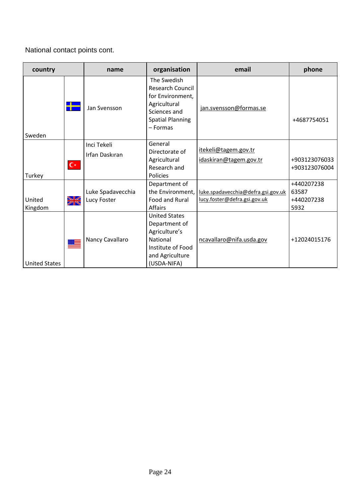National contact points cont.

| country              |       | name              | organisation                                                                                                                        | email                                                              | phone                          |
|----------------------|-------|-------------------|-------------------------------------------------------------------------------------------------------------------------------------|--------------------------------------------------------------------|--------------------------------|
| Sweden               | ┱     | Jan Svensson      | The Swedish<br><b>Research Council</b><br>for Environment,<br>Agricultural<br>Sciences and<br><b>Spatial Planning</b><br>$-$ Formas | jan.svensson@formas.se                                             | +4687754051                    |
|                      |       | Inci Tekeli       | General                                                                                                                             |                                                                    |                                |
| Turkey               | $C^*$ | Irfan Daskıran    | Directorate of<br>Agricultural<br>Research and<br><b>Policies</b>                                                                   | itekeli@tagem.gov.tr<br>idaskiran@tagem.gov.tr                     | +903123076033<br>+903123076004 |
|                      |       |                   | Department of                                                                                                                       |                                                                    | +440207238                     |
| United               |       | Luke Spadavecchia | the Environment,<br>Food and Rural                                                                                                  | luke.spadavecchia@defra.gsi.gov.uk<br>lucy.foster@defra.gsi.gov.uk | 63587<br>+440207238            |
| Kingdom              | ☀     | Lucy Foster       | <b>Affairs</b>                                                                                                                      |                                                                    | 5932                           |
| <b>United States</b> |       | Nancy Cavallaro   | <b>United States</b><br>Department of<br>Agriculture's<br>National<br>Institute of Food<br>and Agriculture<br>(USDA-NIFA)           | ncavallaro@nifa.usda.gov                                           | +12024015176                   |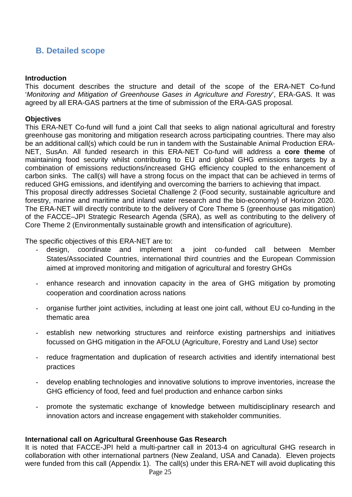# <span id="page-24-0"></span>**B. Detailed scope**

### **Introduction**

This document describes the structure and detail of the scope of the ERA-NET Co-fund '*Monitoring and Mitigation of Greenhouse Gases in Agriculture and Forestry*', ERA-GAS. It was agreed by all ERA-GAS partners at the time of submission of the ERA-GAS proposal.

### **Objectives**

This ERA-NET Co-fund will fund a joint Call that seeks to align national agricultural and forestry greenhouse gas monitoring and mitigation research across participating countries. There may also be an additional call(s) which could be run in tandem with the Sustainable Animal Production ERA-NET, SusAn. All funded research in this ERA-NET Co-fund will address a **core theme** of maintaining food security whilst contributing to EU and global GHG emissions targets by a combination of emissions reductions/increased GHG efficiency coupled to the enhancement of carbon sinks. The call(s) will have a strong focus on the impact that can be achieved in terms of reduced GHG emissions, and identifying and overcoming the barriers to achieving that impact. This proposal directly addresses Societal Challenge 2 (Food security, sustainable agriculture and forestry, marine and maritime and inland water research and the bio-economy) of Horizon 2020. The ERA-NET will directly contribute to the delivery of Core Theme 5 (greenhouse gas mitigation) of the FACCE–JPI Strategic Research Agenda (SRA), as well as contributing to the delivery of Core Theme 2 (Environmentally sustainable growth and intensification of agriculture).

The specific objectives of this ERA-NET are to:

- design, coordinate and implement a joint co-funded call between Member States/Associated Countries, international third countries and the European Commission aimed at improved monitoring and mitigation of agricultural and forestry GHGs
- enhance research and innovation capacity in the area of GHG mitigation by promoting cooperation and coordination across nations
- organise further joint activities, including at least one joint call, without EU co-funding in the thematic area
- establish new networking structures and reinforce existing partnerships and initiatives focussed on GHG mitigation in the AFOLU (Agriculture, Forestry and Land Use) sector
- reduce fragmentation and duplication of research activities and identify international best practices
- develop enabling technologies and innovative solutions to improve inventories, increase the GHG efficiency of food, feed and fuel production and enhance carbon sinks
- promote the systematic exchange of knowledge between multidisciplinary research and innovation actors and increase engagement with stakeholder communities.

### **International call on Agricultural Greenhouse Gas Research**

It is noted that FACCE-JPI held a multi-partner call in 2013-4 on agricultural GHG research in collaboration with other international partners (New Zealand, USA and Canada). Eleven projects were funded from this call (Appendix 1). The call(s) under this ERA-NET will avoid duplicating this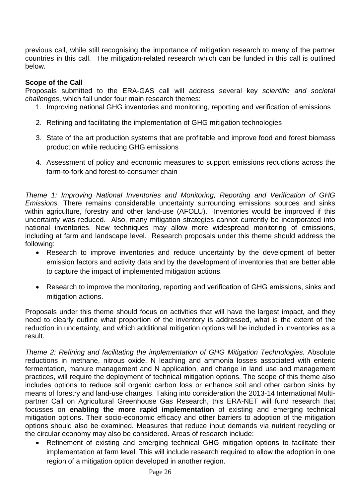previous call, while still recognising the importance of mitigation research to many of the partner countries in this call. The mitigation-related research which can be funded in this call is outlined below.

### **Scope of the Call**

Proposals submitted to the ERA-GAS call will address several key *scientific and societal challenges*, which fall under four main research themes:

- 1. Improving national GHG inventories and monitoring, reporting and verification of emissions
- 2. Refining and facilitating the implementation of GHG mitigation technologies
- 3. State of the art production systems that are profitable and improve food and forest biomass production while reducing GHG emissions
- 4. Assessment of policy and economic measures to support emissions reductions across the farm-to-fork and forest-to-consumer chain

*Theme 1: Improving National Inventories and Monitoring, Reporting and Verification of GHG Emissions.* There remains considerable uncertainty surrounding emissions sources and sinks within agriculture, forestry and other land-use (AFOLU). Inventories would be improved if this uncertainty was reduced. Also, many mitigation strategies cannot currently be incorporated into national inventories. New techniques may allow more widespread monitoring of emissions, including at farm and landscape level. Research proposals under this theme should address the following:

- Research to improve inventories and reduce uncertainty by the development of better emission factors and activity data and by the development of inventories that are better able to capture the impact of implemented mitigation actions.
- Research to improve the monitoring, reporting and verification of GHG emissions, sinks and mitigation actions.

Proposals under this theme should focus on activities that will have the largest impact, and they need to clearly outline what proportion of the inventory is addressed, what is the extent of the reduction in uncertainty, and which additional mitigation options will be included in inventories as a result.

*Theme 2: Refining and facilitating the implementation of GHG Mitigation Technologies.* Absolute reductions in methane, nitrous oxide, N leaching and ammonia losses associated with enteric fermentation, manure management and N application, and change in land use and management practices, will require the deployment of technical mitigation options. The scope of this theme also includes options to reduce soil organic carbon loss or enhance soil and other carbon sinks by means of forestry and land-use changes. Taking into consideration the 2013-14 International Multipartner Call on Agricultural Greenhouse Gas Research, this ERA-NET will fund research that focusses on **enabling the more rapid implementation** of existing and emerging technical mitigation options. Their socio-economic efficacy and other barriers to adoption of the mitigation options should also be examined. Measures that reduce input demands via nutrient recycling or the circular economy may also be considered. Areas of research include:

• Refinement of existing and emerging technical GHG mitigation options to facilitate their implementation at farm level. This will include research required to allow the adoption in one region of a mitigation option developed in another region.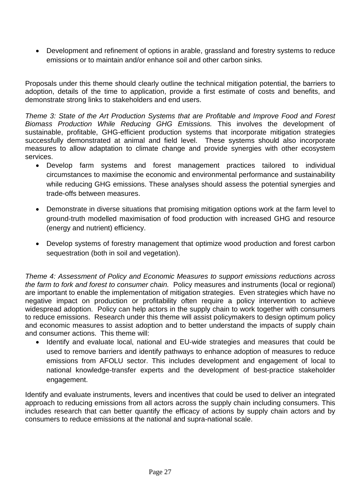• Development and refinement of options in arable, grassland and forestry systems to reduce emissions or to maintain and/or enhance soil and other carbon sinks.

Proposals under this theme should clearly outline the technical mitigation potential, the barriers to adoption, details of the time to application, provide a first estimate of costs and benefits, and demonstrate strong links to stakeholders and end users.

*Theme 3: State of the Art Production Systems that are Profitable and Improve Food and Forest Biomass Production While Reducing GHG Emissions.* This involves the development of sustainable, profitable, GHG-efficient production systems that incorporate mitigation strategies successfully demonstrated at animal and field level. These systems should also incorporate measures to allow adaptation to climate change and provide synergies with other ecosystem services.

- Develop farm systems and forest management practices tailored to individual circumstances to maximise the economic and environmental performance and sustainability while reducing GHG emissions. These analyses should assess the potential synergies and trade-offs between measures.
- Demonstrate in diverse situations that promising mitigation options work at the farm level to ground-truth modelled maximisation of food production with increased GHG and resource (energy and nutrient) efficiency.
- Develop systems of forestry management that optimize wood production and forest carbon sequestration (both in soil and vegetation).

*Theme 4: Assessment of Policy and Economic Measures to support emissions reductions across the farm to fork and forest to consumer chain.* Policy measures and instruments (local or regional) are important to enable the implementation of mitigation strategies. Even strategies which have no negative impact on production or profitability often require a policy intervention to achieve widespread adoption. Policy can help actors in the supply chain to work together with consumers to reduce emissions. Research under this theme will assist policymakers to design optimum policy and economic measures to assist adoption and to better understand the impacts of supply chain and consumer actions. This theme will:

• Identify and evaluate local, national and EU-wide strategies and measures that could be used to remove barriers and identify pathways to enhance adoption of measures to reduce emissions from AFOLU sector. This includes development and engagement of local to national knowledge-transfer experts and the development of best-practice stakeholder engagement.

Identify and evaluate instruments, levers and incentives that could be used to deliver an integrated approach to reducing emissions from all actors across the supply chain including consumers. This includes research that can better quantify the efficacy of actions by supply chain actors and by consumers to reduce emissions at the national and supra-national scale.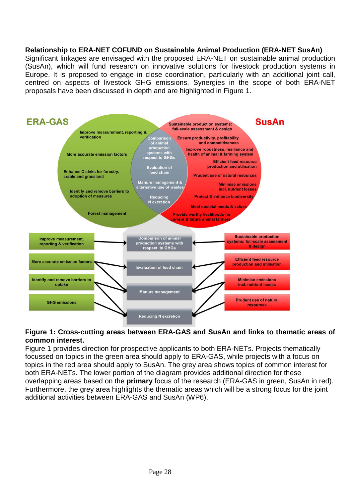### **Relationship to ERA-NET COFUND on Sustainable Animal Production (ERA-NET SusAn)**

Significant linkages are envisaged with the proposed ERA-NET on sustainable animal production (SusAn), which will fund research on innovative solutions for livestock production systems in Europe. It is proposed to engage in close coordination, particularly with an additional joint call, centred on aspects of livestock GHG emissions. Synergies in the scope of both ERA-NET proposals have been discussed in depth and are highlighted in Figure 1.



### **Figure 1: Cross-cutting areas between ERA-GAS and SusAn and links to thematic areas of common interest.**

Figure 1 provides direction for prospective applicants to both ERA-NETs. Projects thematically focussed on topics in the green area should apply to ERA-GAS, while projects with a focus on topics in the red area should apply to SusAn. The grey area shows topics of common interest for both ERA-NETs. The lower portion of the diagram provides additional direction for these overlapping areas based on the **primary** focus of the research (ERA-GAS in green, SusAn in red). Furthermore, the grey area highlights the thematic areas which will be a strong focus for the joint additional activities between ERA-GAS and SusAn (WP6).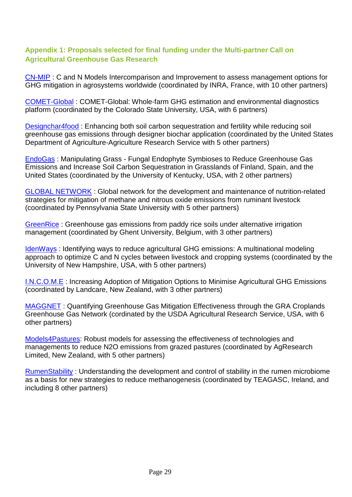### **Appendix 1: Proposals selected for final funding under the Multi-partner Call on Agricultural Greenhouse Gas Research**

[CN-MIP](https://www.faccejpi.com/layout/set/print/Media/FACCE-activities/Mitigation-call-documents/Events-docs/CN-MIP) : C and N Models Intercomparison and Improvement to assess management options for GHG mitigation in agrosystems worldwide (coordinated by INRA, France, with 10 other partners)

[COMET-Global](https://www.faccejpi.com/layout/set/print/Media/FACCE-activities/Mitigation-call-documents/Events-docs/COMET-Global) : COMET-Global: Whole-farm GHG estimation and environmental diagnostics platform (coordinated by the Colorado State University, USA, with 6 partners)

[Designchar4food](https://www.faccejpi.com/layout/set/print/Media/FACCE-activities/Mitigation-call-documents/Events-docs/Designchar4Food) : Enhancing both soil carbon sequestration and fertility while reducing soil greenhouse gas emissions through designer biochar application (coordinated by the United States Department of Agriculture-Agriculture Research Service with 5 other partners)

[EndoGas](https://www.faccejpi.com/layout/set/print/Media/FACCE-activities/Mitigation-call-documents/Events-docs/EndoGas) : Manipulating Grass - Fungal Endophyte Symbioses to Reduce Greenhouse Gas Emissions and Increase Soil Carbon Sequestration in Grasslands of Finland, Spain, and the United States (coordinated by the University of Kentucky, USA, with 2 other partners)

[GLOBAL NETWORK](https://www.faccejpi.com/layout/set/print/Media/FACCE-activities/Mitigation-call-documents/Events-docs/GLOBAL_NETWORK) : Global network for the development and maintenance of nutrition-related strategies for mitigation of methane and nitrous oxide emissions from ruminant livestock (coordinated by Pennsylvania State University with 5 other partners)

[GreenRice](https://www.faccejpi.com/layout/set/print/Media/FACCE-activities/Mitigation-call-documents/Events-docs/GreenRice) : Greenhouse gas emissions from paddy rice soils under alternative irrigation management (coordinated by Ghent University, Belgium, with 3 other partners)

[IdenWays](https://www.faccejpi.com/layout/set/print/Media/FACCE-activities/Mitigation-call-documents/Events-docs/IdenWays) : Identifying ways to reduce agricultural GHG emissions: A multinational modeling approach to optimize C and N cycles between livestock and cropping systems (coordinated by the University of New Hampshire, USA, with 5 other partners)

[I.N.C.O.M.E](https://www.faccejpi.com/layout/set/print/Media/FACCE-activities/Mitigation-call-documents/Events-docs/INCOME) : Increasing Adoption of Mitigation Options to Minimise Agricultural GHG Emissions (coordinated by Landcare, New Zealand, with 3 other partners)

[MAGGNET](https://www.faccejpi.com/layout/set/print/Media/FACCE-activities/Mitigation-call-documents/Events-docs/MAGGNET) : Quantifying Greenhouse Gas Mitigation Effectiveness through the GRA Croplands Greenhouse Gas Network (cordinated by the USDA Agricultural Research Service, USA, with 6 other partners)

[Models4Pastures:](https://www.faccejpi.com/layout/set/print/Media/FACCE-activities/Mitigation-call-documents/Events-docs/Models4Pastures) Robust models for assessing the effectiveness of technologies and managements to reduce N2O emissions from grazed pastures (coordinated by AgResearch Limited, New Zealand, with 5 other partners)

[RumenStability](https://www.faccejpi.com/layout/set/print/Media/FACCE-activities/Mitigation-call-documents/Events-docs/RumenStability) : Understanding the development and control of stability in the rumen microbiome as a basis for new strategies to reduce methanogenesis (coordinated by TEAGASC, Ireland, and including 8 other partners)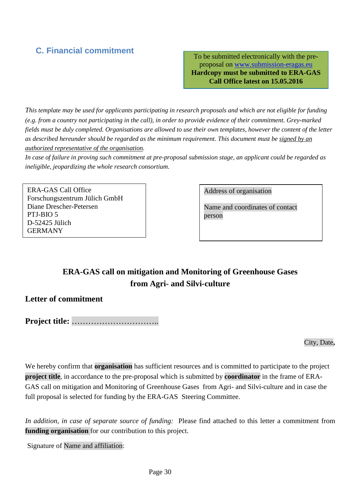# <span id="page-29-0"></span>**C. Financial commitment**

To be submitted electronically with the preproposal on www.submission-eragas.eu **Hardcopy must be submitted to ERA-GAS Call Office latest on 15.05.2016**

*This template may be used for applicants participating in research proposals and which are not eligible for funding (e.g. from a country not participating in the call), in order to provide evidence of their commitment. Grey-marked fields must be duly completed. Organisations are allowed to use their own templates, however the content of the letter as described hereunder should be regarded as the minimum requirement. This document must be signed by an authorized representative of the organisation.*

*In case of failure in proving such commitment at pre-proposal submission stage, an applicant could be regarded as ineligible, jeopardizing the whole research consortium.*

ERA-GAS Call Office Forschungszentrum Jülich GmbH Diane Drescher-Petersen PTJ-BIO 5 D-52425 Jülich GERMANY

Address of organisation

Name and coordinates of contact person

# **ERA-GAS call on mitigation and Monitoring of Greenhouse Gases from Agri- and Silvi-culture**

## **Letter of commitment**

**Project title:** …………………………..

City, Date**,**

We hereby confirm that **organisation** has sufficient resources and is committed to participate to the project **project title**, in accordance to the pre-proposal which is submitted by **coordinator** in the frame of ERA-GAS call on mitigation and Monitoring of Greenhouse Gases from Agri- and Silvi-culture and in case the full proposal is selected for funding by the ERA-GAS Steering Committee.

*In addition, in case of separate source of funding:* Please find attached to this letter a commitment from **funding organisation** for our contribution to this project.

Signature of Name and affiliation: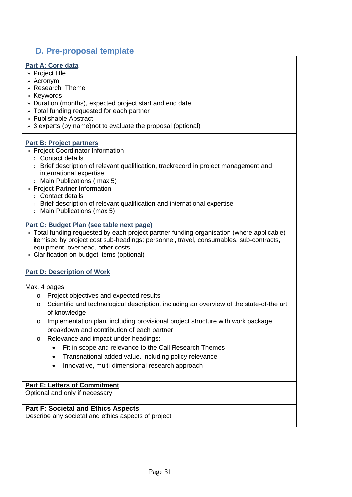# <span id="page-30-0"></span>**D. Pre-proposal template**

### **Part A: Core data**

- » Project title
- » Acronym
- » Research Theme
- » Keywords
- » Duration (months), expected project start and end date
- » Total funding requested for each partner
- » Publishable Abstract
- » 3 experts (by name)not to evaluate the proposal (optional)

### **Part B: Project partners**

- » Project Coordinator Information
	- › Contact details
	- › Brief description of relevant qualification, trackrecord in project management and international expertise
	- › Main Publications ( max 5)
- » Project Partner Information
	- › Contact details
	- › Brief description of relevant qualification and international expertise
	- › Main Publications (max 5)

### **Part C: Budget Plan (see table next page)**

- » Total funding requested by each project partner funding organisation (where applicable) itemised by project cost sub-headings: personnel, travel, consumables, sub-contracts, equipment, overhead, other costs
- » Clarification on budget items (optional)

### **Part D: Description of Work**

Max. 4 pages

- o Project objectives and expected results
- o Scientific and technological description, including an overview of the state-of-the art of knowledge
- o Implementation plan, including provisional project structure with work package breakdown and contribution of each partner
- o Relevance and impact under headings:
	- Fit in scope and relevance to the Call Research Themes
	- Transnational added value, including policy relevance
	- Innovative, multi-dimensional research approach

### **Part E: Letters of Commitment**

Optional and only if necessary

### **Part F: Societal and Ethics Aspects**

Describe any societal and ethics aspects of project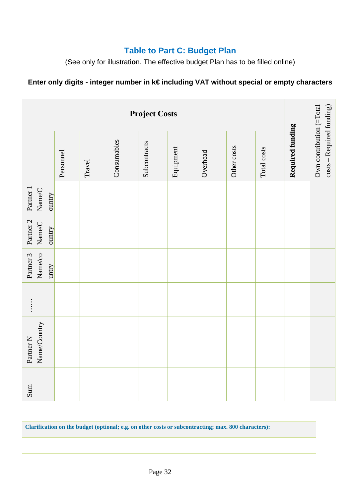# **Table to Part C: Budget Plan**

(See only for illustrati**o**n. The effective budget Plan has to be filled online)

# **Enter only digits - integer number in k€ including VAT without special or empty characters**

| <b>Project Costs</b>                                      |           |        |             |              |           |          |             |             |                  |                                                       |
|-----------------------------------------------------------|-----------|--------|-------------|--------------|-----------|----------|-------------|-------------|------------------|-------------------------------------------------------|
|                                                           | Personnel | Travel | Consumables | Subcontracts | Equipment | Overhead | Other costs | Total costs | Required funding | Own contribution (=Total<br>costs - Required funding) |
| Partner 1<br>Name/C<br>ountry                             |           |        |             |              |           |          |             |             |                  |                                                       |
| Partner 2<br>Name/C<br>ountry                             |           |        |             |              |           |          |             |             |                  |                                                       |
| Name/co<br>Partner 3<br>untry                             |           |        |             |              |           |          |             |             |                  |                                                       |
| $\begin{array}{c} \vdots \\ \vdots \\ \vdots \end{array}$ |           |        |             |              |           |          |             |             |                  |                                                       |
| Name/Country<br>Partner <sub>N</sub>                      |           |        |             |              |           |          |             |             |                  |                                                       |
| Sum                                                       |           |        |             |              |           |          |             |             |                  |                                                       |

**Clarification on the budget (optional; e.g. on other costs or subcontracting; max. 800 characters):**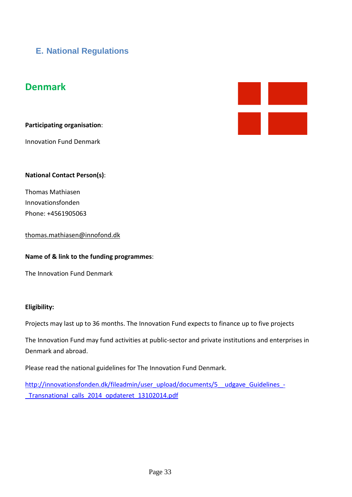# <span id="page-32-0"></span>**E. National Regulations**

# **Denmark**

**Participating organisation**:

Innovation Fund Denmark



### **National Contact Person(s)**:

Thomas Mathiasen Innovationsfonden Phone: +4561905063

[thomas.mathiasen@innofond.dk](mailto:thomas.mathiasen@innofond.dk)

#### **Name of & link to the funding programmes**:

The Innovation Fund Denmark

#### **Eligibility:**

Projects may last up to 36 months. The Innovation Fund expects to finance up to five projects

The Innovation Fund may fund activities at public-sector and private institutions and enterprises in Denmark and abroad.

Please read the national guidelines for The Innovation Fund Denmark.

[http://innovationsfonden.dk/fileadmin/user\\_upload/documents/5\\_\\_udgave\\_Guidelines\\_-](http://innovationsfonden.dk/fileadmin/user_upload/documents/5__udgave_Guidelines_-_Transnational_calls_2014_opdateret_13102014.pdf) [\\_Transnational\\_calls\\_2014\\_opdateret\\_13102014.pdf](http://innovationsfonden.dk/fileadmin/user_upload/documents/5__udgave_Guidelines_-_Transnational_calls_2014_opdateret_13102014.pdf)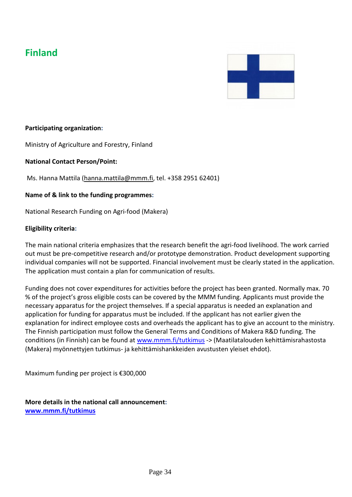# **Finland**



### **Participating organization:**

Ministry of Agriculture and Forestry, Finland

**National Contact Person/Point:**

Ms. Hanna Mattila [\(hanna.mattila@mmm.fi,](mailto:hanna.mattila@mmm.fi) tel. +358 2951 62401)

### **Name of & link to the funding programmes:**

National Research Funding on Agri-food (Makera)

### **Eligibility criteria:**

The main national criteria emphasizes that the research benefit the agri-food livelihood. The work carried out must be pre-competitive research and/or prototype demonstration. Product development supporting individual companies will not be supported. Financial involvement must be clearly stated in the application. The application must contain a plan for communication of results.

Funding does not cover expenditures for activities before the project has been granted. Normally max. 70 % of the project's gross eligible costs can be covered by the MMM funding. Applicants must provide the necessary apparatus for the project themselves. If a special apparatus is needed an explanation and application for funding for apparatus must be included. If the applicant has not earlier given the explanation for indirect employee costs and overheads the applicant has to give an account to the ministry. The Finnish participation must follow the General Terms and Conditions of Makera R&D funding. The conditions (in Finnish) can be found at [www.mmm.fi/tutkimus](http://www.mmm.fi/tutkimus) -> (Maatilatalouden kehittämisrahastosta (Makera) myönnettyjen tutkimus- ja kehittämishankkeiden avustusten yleiset ehdot).

Maximum funding per project is €300,000

**More details in the national call announcement: [www.mmm.fi/tutkimus](http://www.mmm.fi/tutkimus)**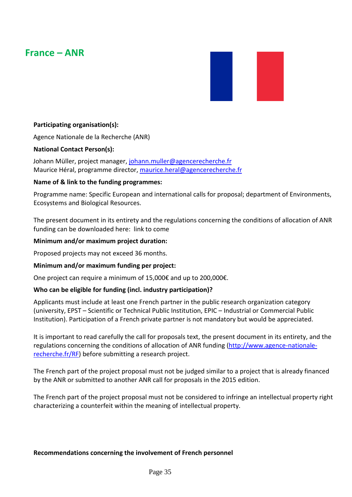# **France – ANR**



### **Participating organisation(s):**

Agence Nationale de la Recherche (ANR)

### **National Contact Person(s):**

Johann Müller, project manager, [johann.muller@agencerecherche.fr](mailto:johann.muller@agencerecherche.fr) Maurice Héral, programme director, [maurice.heral@agencerecherche.fr](mailto:maurice.heral@agencerecherche.fr)

### **Name of & link to the funding programmes:**

Programme name: Specific European and international calls for proposal; department of Environments, Ecosystems and Biological Resources.

The present document in its entirety and the regulations concerning the conditions of allocation of ANR funding can be downloaded here: link to come

### **Minimum and/or maximum project duration:**

Proposed projects may not exceed 36 months.

### **Minimum and/or maximum funding per project:**

One project can require a minimum of 15,000€ and up to 200,000€.

#### **Who can be eligible for funding (incl. industry participation)?**

Applicants must include at least one French partner in the public research organization category (university, EPST – Scientific or Technical Public Institution, EPIC – Industrial or Commercial Public Institution). Participation of a French private partner is not mandatory but would be appreciated.

It is important to read carefully the call for proposals text, the present document in its entirety, and the regulations concerning the conditions of allocation of ANR funding [\(http://www.agence-nationale](http://www.agence-nationale-recherche.fr/RF)[recherche.fr/RF\)](http://www.agence-nationale-recherche.fr/RF) before submitting a research project.

The French part of the project proposal must not be judged similar to a project that is already financed by the ANR or submitted to another ANR call for proposals in the 2015 edition.

The French part of the project proposal must not be considered to infringe an intellectual property right characterizing a counterfeit within the meaning of intellectual property.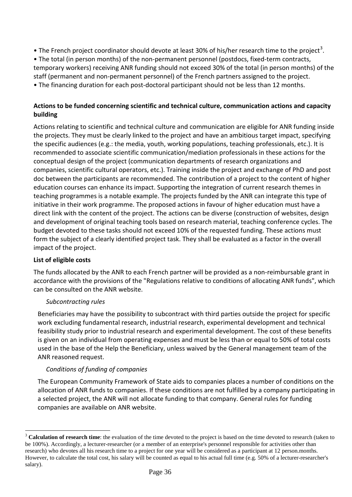- The French project coordinator should devote at least [3](#page-35-0)0% of his/her research time to the project<sup>3</sup>.
- The total (in person months) of the non-permanent personnel (postdocs, fixed-term contracts, temporary workers) receiving ANR funding should not exceed 30% of the total (in person months) of the staff (permanent and non-permanent personnel) of the French partners assigned to the project.
- The financing duration for each post-doctoral participant should not be less than 12 months.

### **Actions to be funded concerning scientific and technical culture, communication actions and capacity building**

Actions relating to scientific and technical culture and communication are eligible for ANR funding inside the projects. They must be clearly linked to the project and have an ambitious target impact, specifying the specific audiences (e.g.: the media, youth, working populations, teaching professionals, etc.). It is recommended to associate scientific communication/mediation professionals in these actions for the conceptual design of the project (communication departments of research organizations and companies, scientific cultural operators, etc.). Training inside the project and exchange of PhD and post doc between the participants are recommended. The contribution of a project to the content of higher education courses can enhance its impact. Supporting the integration of current research themes in teaching programmes is a notable example. The projects funded by the ANR can integrate this type of initiative in their work programme. The proposed actions in favour of higher education must have a direct link with the content of the project. The actions can be diverse (construction of websites, design and development of original teaching tools based on research material, teaching conference cycles. The budget devoted to these tasks should not exceed 10% of the requested funding. These actions must form the subject of a clearly identified project task. They shall be evaluated as a factor in the overall impact of the project.

### **List of eligible costs**

 $\overline{a}$ 

The funds allocated by the ANR to each French partner will be provided as a non-reimbursable grant in accordance with the provisions of the "Regulations relative to conditions of allocating ANR funds", which can be consulted on the ANR website.

### *Subcontracting rules*

Beneficiaries may have the possibility to subcontract with third parties outside the project for specific work excluding fundamental research, industrial research, experimental development and technical feasibility study prior to industrial research and experimental development. The cost of these benefits is given on an individual from operating expenses and must be less than or equal to 50% of total costs used in the base of the Help the Beneficiary, unless waived by the General management team of the ANR reasoned request.

### *Conditions of funding of companies*

The European Community Framework of State aids to companies places a number of conditions on the allocation of ANR funds to companies. If these conditions are not fulfilled by a company participating in a selected project, the ANR will not allocate funding to that company. General rules for funding companies are available on ANR website.

<span id="page-35-0"></span><sup>&</sup>lt;sup>3</sup> **Calculation of research time**: the evaluation of the time devoted to the project is based on the time devoted to research (taken to be 100%). Accordingly, a lecturer-researcher (or a member of an enterprise's personnel responsible for activities other than research) who devotes all his research time to a project for one year will be considered as a participant at 12 person.months. However, to calculate the total cost, his salary will be counted as equal to his actual full time (e.g. 50% of a lecturer-researcher's salary).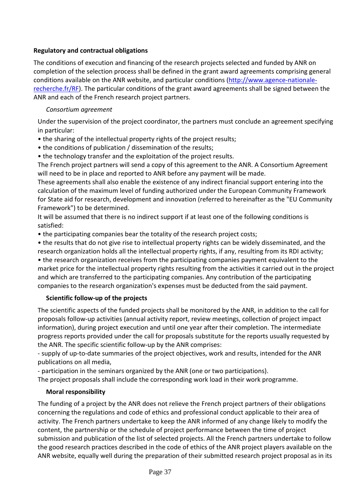### **Regulatory and contractual obligations**

The conditions of execution and financing of the research projects selected and funded by ANR on completion of the selection process shall be defined in the grant award agreements comprising general conditions available on the ANR website, and particular conditions [\(http://www.agence-nationale](http://www.agence-nationale-recherche.fr/RF)[recherche.fr/RF\)](http://www.agence-nationale-recherche.fr/RF). The particular conditions of the grant award agreements shall be signed between the ANR and each of the French research project partners.

### *Consortium agreement*

Under the supervision of the project coordinator, the partners must conclude an agreement specifying in particular:

- the sharing of the intellectual property rights of the project results;
- the conditions of publication / dissemination of the results;
- the technology transfer and the exploitation of the project results.

The French project partners will send a copy of this agreement to the ANR. A Consortium Agreement will need to be in place and reported to ANR before any payment will be made.

These agreements shall also enable the existence of any indirect financial support entering into the calculation of the maximum level of funding authorized under the European Community Framework for State aid for research, development and innovation (referred to hereinafter as the "EU Community Framework") to be determined.

It will be assumed that there is no indirect support if at least one of the following conditions is satisfied:

• the participating companies bear the totality of the research project costs;

• the results that do not give rise to intellectual property rights can be widely disseminated, and the research organization holds all the intellectual property rights, if any, resulting from its RDI activity;

• the research organization receives from the participating companies payment equivalent to the market price for the intellectual property rights resulting from the activities it carried out in the project and which are transferred to the participating companies. Any contribution of the participating companies to the research organization's expenses must be deducted from the said payment.

### **Scientific follow-up of the projects**

The scientific aspects of the funded projects shall be monitored by the ANR, in addition to the call for proposals follow-up activities (annual activity report, review meetings, collection of project impact information), during project execution and until one year after their completion. The intermediate progress reports provided under the call for proposals substitute for the reports usually requested by the ANR. The specific scientific follow-up by the ANR comprises:

- supply of up-to-date summaries of the project objectives, work and results, intended for the ANR publications on all media,

- participation in the seminars organized by the ANR (one or two participations).

The project proposals shall include the corresponding work load in their work programme.

### **Moral responsibility**

The funding of a project by the ANR does not relieve the French project partners of their obligations concerning the regulations and code of ethics and professional conduct applicable to their area of activity. The French partners undertake to keep the ANR informed of any change likely to modify the content, the partnership or the schedule of project performance between the time of project submission and publication of the list of selected projects. All the French partners undertake to follow the good research practices described in the code of ethics of the ANR project players available on the ANR website, equally well during the preparation of their submitted research project proposal as in its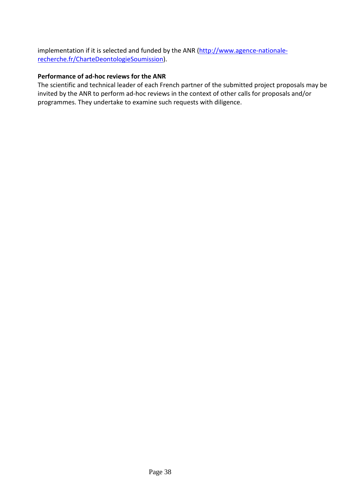implementation if it is selected and funded by the ANR [\(http://www.agence-nationale](http://www.agence-nationale-recherche.fr/CharteDeontologieSoumission)[recherche.fr/CharteDeontologieSoumission\)](http://www.agence-nationale-recherche.fr/CharteDeontologieSoumission).

### **Performance of ad-hoc reviews for the ANR**

The scientific and technical leader of each French partner of the submitted project proposals may be invited by the ANR to perform ad-hoc reviews in the context of other calls for proposals and/or programmes. They undertake to examine such requests with diligence.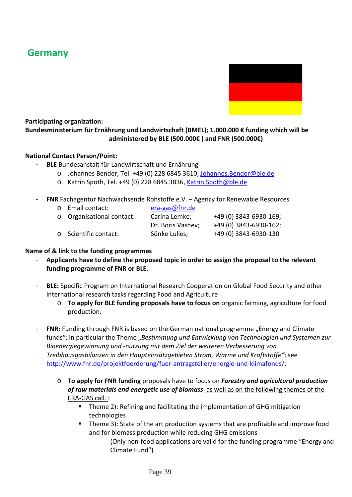# **Germany**



# **Participating organization:**

### **Bundesministerium für Ernährung und Landwirtschaft (BMEL); 1.000.000 € funding which will be administered by BLE (500.000€ ) and FNR (500.000€)**

### **National Contact Person/Point:**

- **BLE** Bundesanstalt für Landwirtschaft und Ernährung
	- o Johannes Bender, Tel. +49 (0) 228 6845 3610, [Johannes.Bender@ble.de](mailto:Johannes.Bender@ble.de)
	- o Katrin Spoth, Tel. +49 (0) 228 6845 3836, [Katrin.Spoth@ble.de](mailto:Katrin.Spoth@ble.de)
- **FNR** Fachagentur Nachwachsende Rohstoffe e.V. Agency for Renewable Resources
	- o Email contact: [era-gas@fnr.de](mailto:era-gas@fnr.de) o Organisational contact: Carina Lemke; +49 (0) 3843-6930-169; Dr. Boris Vashev; +49 (0) 3843-6930-162; o Scientific contact: Sönke Lulies; +49 (0) 3843-6930-130

### **Name of & link to the funding programmes**

- **Applicants have to define the proposed topic in order to assign the proposal to the relevant funding programme of FNR or BLE.**
- **BLE:** Specific Program on International Research Cooperation on Global Food Security and other international research tasks regarding Food and Agriculture
	- o **To apply for BLE funding proposals have to focus on** organic farming, agriculture for food production.
- **FNR:** Funding through FNR is based on the German national programme "Energy and Climate funds"; in particular the Theme "Bestimmung und Entwicklung von Technologien und Systemen zur *Bioenergiegewinnung und -nutzung mit dem Ziel der weiteren Verbesserung von Treibhausgasbilanzen in den Haupteinsatzgebieten Strom, Wärme und Kraftstoffe"*; see [http://www.fnr.de/projektfoerderung/fuer-antragsteller/energie-und-klimafonds/.](http://www.fnr.de/projektfoerderung/fuer-antragsteller/energie-und-klimafonds/)
	- o **To apply for FNR funding** proposals have to focus on *Forestry and agricultural production of raw materials end energetic use of biomass* as well as on the following themes of the ERA-GAS call. :
		- **Theme 2): Refining and facilitating the implementation of GHG mitigation** technologies
		- Theme 3): State of the art production systems that are profitable and improve food and for biomass production while reducing GHG emissions

(Only non-food applications are valid for the funding programme "Energy and Climate Fund")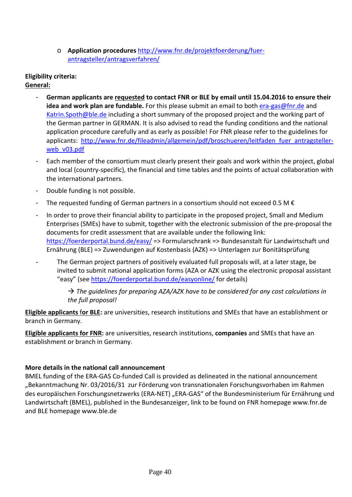o **Application procedures** [http://www.fnr.de/projektfoerderung/fuer](http://www.fnr.de/projektfoerderung/fuer-antragsteller/antragsverfahren/)[antragsteller/antragsverfahren/](http://www.fnr.de/projektfoerderung/fuer-antragsteller/antragsverfahren/)

### **Eligibility criteria: General:**

- **German applicants are requested to contact FNR or BLE by email until 15.04.2016 to ensure their idea and work plan are fundable.** For this please submit an email to both [era-gas@fnr.de](mailto:era-gas@fnr.de) and [Katrin.Spoth@ble.de](mailto:Katrin.Spoth@ble.de) including a short summary of the proposed project and the working part of the German partner in GERMAN. It is also advised to read the funding conditions and the national application procedure carefully and as early as possible! For FNR please refer to the guidelines for applicants: http://www.fnr.de/fileadmin/allgemein/pdf/broschueren/leitfaden fuer antragsteller[web\\_v03.pdf](http://www.fnr.de/fileadmin/allgemein/pdf/broschueren/leitfaden_fuer_antragsteller-web_v03.pdf)
- Each member of the consortium must clearly present their goals and work within the project, global and local (country-specific), the financial and time tables and the points of actual collaboration with the international partners.
- Double funding is not possible.
- The requested funding of German partners in a consortium should not exceed 0.5 M  $\epsilon$
- In order to prove their financial ability to participate in the proposed project, Small and Medium Enterprises (SMEs) have to submit, together with the electronic submission of the pre-proposal the documents for credit assessment that are available under the following link: <https://foerderportal.bund.de/easy/> => Formularschrank => Bundesanstalt für Landwirtschaft und Ernährung (BLE) => Zuwendungen auf Kostenbasis (AZK) => Unterlagen zur Bonitätsprüfung
- The German project partners of positively evaluated full proposals will, at a later stage, be invited to submit national application forms (AZA or AZK using the electronic proposal assistant "easy" (see<https://foerderportal.bund.de/easyonline/> for details)

 *The guidelines for preparing AZA/AZK have to be considered for any cost calculations in the full proposal!*

**Eligible applicants** f**or BLE:** are universities, research institutions and SMEs that have an establishment or branch in Germany.

**Eligible applicants for FNR:** are universities, research institutions, **companies** and SMEs that have an establishment or branch in Germany.

### **More details in the national call announcement**

BMEL funding of the ERA-GAS Co-funded Call is provided as delineated in the national announcement "Bekanntmachung Nr. 03/2016/31 zur Förderung von transnationalen Forschungsvorhaben im Rahmen des europäischen Forschungsnetzwerks (ERA-NET) "ERA-GAS" of the Bundesministerium für Ernährung und Landwirtschaft (BMEL), published in the Bundesanzeiger, link to be found on FNR homepage www.fnr.de and BLE homepage www.ble.de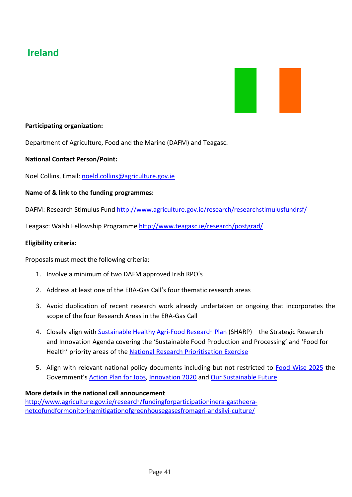# **Ireland**



### **Participating organization:**

Department of Agriculture, Food and the Marine (DAFM) and Teagasc.

### **National Contact Person/Point:**

Noel Collins, Email: [noeld.collins@agriculture.gov.ie](mailto:noeld.collins@agriculture.gov.ie)

### **Name of & link to the funding programmes:**

DAFM: Research Stimulus Fund<http://www.agriculture.gov.ie/research/researchstimulusfundrsf/>

Teagasc: Walsh Fellowship Programme<http://www.teagasc.ie/research/postgrad/>

#### **Eligibility criteria:**

Proposals must meet the following criteria:

- 1. Involve a minimum of two DAFM approved Irish RPO's
- 2. Address at least one of the ERA-Gas Call's four thematic research areas
- 3. Avoid duplication of recent research work already undertaken or ongoing that incorporates the scope of the four Research Areas in the ERA-Gas Call
- 4. Closely align with **Sustainable Healthy Agri-Food Research Plan** (SHARP) the Strategic Research and Innovation Agenda covering the 'Sustainable Food Production and Processing' and 'Food for Health' priority areas of the [National Research Prioritisation Exercise](https://www.djei.ie/en/Publications/Publication-files/Research-Prioritisation.pdf)
- 5. Align with relevant national policy documents including but not restricted to [Food Wise 2025](http://www.agriculture.gov.ie/media/migration/agri-foodindustry/foodwise2025/report/FoodWise2025.pdf) the Government'[s Action Plan for Jobs,](https://www.djei.ie/en/Publications/Publication-files/Action-Plan-for-Jobs-2015.pdf) [Innovation 2020](https://www.djei.ie/en/Publications/Innovation-2020.html) and [Our Sustainable Future.](http://www.environ.ie/en/Publications/Environment/Miscellaneous/FileDownLoad,30452,en.pdf)

#### **More details in the national call announcement**

[http://www.agriculture.gov.ie/research/fundingforparticipationinera-gastheera](http://www.agriculture.gov.ie/research/fundingforparticipationinera-gastheera-netcofundformonitoringmitigationofgreenhousegasesfromagri-andsilvi-culture/)[netcofundformonitoringmitigationofgreenhousegasesfromagri-andsilvi-culture/](http://www.agriculture.gov.ie/research/fundingforparticipationinera-gastheera-netcofundformonitoringmitigationofgreenhousegasesfromagri-andsilvi-culture/)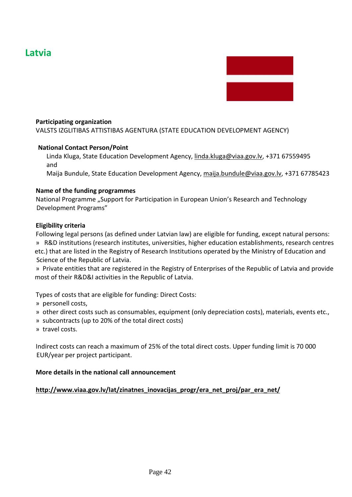# **Latvia**



#### **Participating organization**

VALSTS IZGLITIBAS ATTISTIBAS AGENTURA (STATE EDUCATION DEVELOPMENT AGENCY)

#### **National Contact Person/Point**

Linda Kluga, State Education Development Agency, [linda.kluga@viaa.gov.lv,](mailto:linda.kluga@viaa.gov.lv) +371 67559495 and

Maija Bundule, State Education Development Agency, [maija.bundule@viaa.gov.lv,](mailto:maija.bundule@viaa.gov.lv) +371 67785423

#### **Name of the funding programmes**

National Programme "Support for Participation in European Union's Research and Technology Development Programs"

#### **Eligibility criteria**

Following legal persons (as defined under Latvian law) are eligible for funding, except natural persons: » R&D institutions (research institutes, universities, higher education establishments, research centres etc.) that are listed in the Registry of Research Institutions operated by the Ministry of Education and Science of the Republic of Latvia.

» Private entities that are registered in the Registry of Enterprises of the Republic of Latvia and provide most of their R&D&I activities in the Republic of Latvia.

Types of costs that are eligible for funding: Direct Costs:

- » personell costs,
- » other direct costs such as consumables, equipment (only depreciation costs), materials, events etc.,
- » subcontracts (up to 20% of the total direct costs)
- » travel costs.

Indirect costs can reach a maximum of 25% of the total direct costs. Upper funding limit is 70 000 EUR/year per project participant.

#### **More details in the national call announcement**

#### **[http://www.viaa.gov.lv/lat/zinatnes\\_inovacijas\\_progr/era\\_net\\_proj/par\\_era\\_net/](http://www.viaa.gov.lv/lat/zinatnes_inovacijas_progr/era_net_proj/par_era_net/)**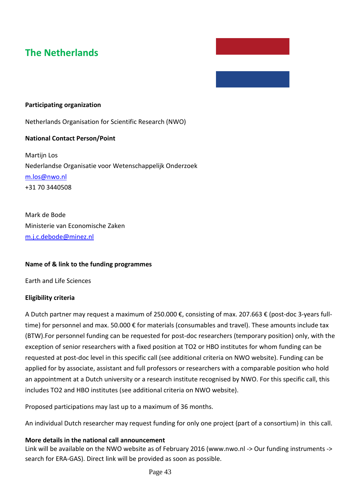# **The Netherlands**

#### **Participating organization**

Netherlands Organisation for Scientific Research (NWO)

#### **National Contact Person/Point**

Martijn Los Nederlandse Organisatie voor Wetenschappelijk Onderzoek [m.los@nwo.nl](mailto:m.los@nwo.nl) +31 70 3440508

Mark de Bode Ministerie van Economische Zaken [m.j.c.debode@minez.nl](mailto:m.j.c.debode@minez.nl)

#### **Name of & link to the funding programmes**

Earth and Life Sciences

#### **Eligibility criteria**

A Dutch partner may request a maximum of 250.000 €, consisting of max. 207.663 € (post-doc 3-years fulltime) for personnel and max. 50.000 € for materials (consumables and travel). These amounts include tax (BTW).For personnel funding can be requested for post-doc researchers (temporary position) only, with the exception of senior researchers with a fixed position at TO2 or HBO institutes for whom funding can be requested at post-doc level in this specific call (see additional criteria on NWO website). Funding can be applied for by associate, assistant and full professors or researchers with a comparable position who hold an appointment at a Dutch university or a research institute recognised by NWO. For this specific call, this includes TO2 and HBO institutes (see additional criteria on NWO website).

Proposed participations may last up to a maximum of 36 months.

An individual Dutch researcher may request funding for only one project (part of a consortium) in this call.

#### **More details in the national call announcement**

Link will be available on the NWO website as of February 2016 (www.nwo.nl -> Our funding instruments -> search for ERA-GAS). Direct link will be provided as soon as possible.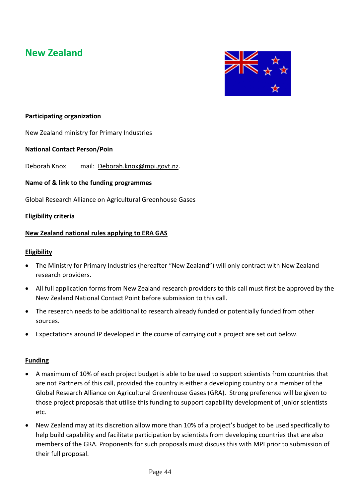# **New Zealand**



### **Participating organization**

New Zealand ministry for Primary Industries

### **National Contact Person/Poin**

Deborah Knox mail: [Deborah.knox@mpi.govt.nz.](mailto:Deborah.knox@mpi.govt.nz)

### **Name of & link to the funding programmes**

Global Research Alliance on Agricultural Greenhouse Gases

### **Eligibility criteria**

### **New Zealand national rules applying to ERA GAS**

#### **Eligibility**

- The Ministry for Primary Industries (hereafter "New Zealand") will only contract with New Zealand research providers.
- All full application forms from New Zealand research providers to this call must first be approved by the New Zealand National Contact Point before submission to this call.
- The research needs to be additional to research already funded or potentially funded from other sources.
- Expectations around IP developed in the course of carrying out a project are set out below.

#### **Funding**

- A maximum of 10% of each project budget is able to be used to support scientists from countries that are not Partners of this call, provided the country is either a developing country or a member of the Global Research Alliance on Agricultural Greenhouse Gases (GRA). Strong preference will be given to those project proposals that utilise this funding to support capability development of junior scientists etc.
- New Zealand may at its discretion allow more than 10% of a project's budget to be used specifically to help build capability and facilitate participation by scientists from developing countries that are also members of the GRA. Proponents for such proposals must discuss this with MPI prior to submission of their full proposal.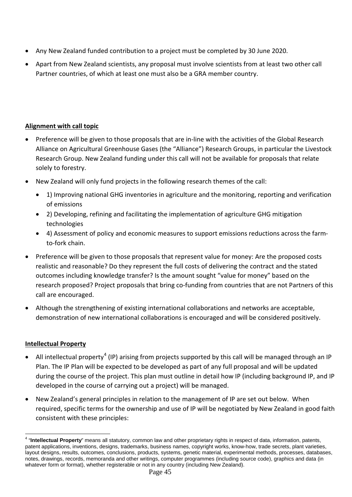- Any New Zealand funded contribution to a project must be completed by 30 June 2020.
- Apart from New Zealand scientists, any proposal must involve scientists from at least two other call Partner countries, of which at least one must also be a GRA member country.

### **Alignment with call topic**

- Preference will be given to those proposals that are in-line with the activities of the Global Research Alliance on Agricultural Greenhouse Gases (the "Alliance") Research Groups, in particular the Livestock Research Group. New Zealand funding under this call will not be available for proposals that relate solely to forestry.
- New Zealand will only fund projects in the following research themes of the call:
	- 1) Improving national GHG inventories in agriculture and the monitoring, reporting and verification of emissions
	- 2) Developing, refining and facilitating the implementation of agriculture GHG mitigation technologies
	- 4) Assessment of policy and economic measures to support emissions reductions across the farmto-fork chain.
- Preference will be given to those proposals that represent value for money: Are the proposed costs realistic and reasonable? Do they represent the full costs of delivering the contract and the stated outcomes including knowledge transfer? Is the amount sought "value for money" based on the research proposed? Project proposals that bring co-funding from countries that are not Partners of this call are encouraged.
- Although the strengthening of existing international collaborations and networks are acceptable, demonstration of new international collaborations is encouraged and will be considered positively.

## **Intellectual Property**

- All intellectual property<sup>[4](#page-44-0)</sup> (IP) arising from projects supported by this call will be managed through an IP Plan. The IP Plan will be expected to be developed as part of any full proposal and will be updated during the course of the project. This plan must outline in detail how IP (including background IP, and IP developed in the course of carrying out a project) will be managed.
- New Zealand's general principles in relation to the management of IP are set out below. When required, specific terms for the ownership and use of IP will be negotiated by New Zealand in good faith consistent with these principles:

<span id="page-44-0"></span><sup>4</sup> "**Intellectual Property**" means all statutory, common law and other proprietary rights in respect of data, information, patents, patent applications, inventions, designs, trademarks, business names, copyright works, know-how, trade secrets, plant varieties, layout designs, results, outcomes, conclusions, products, systems, genetic material, experimental methods, processes, databases, notes, drawings, records, memoranda and other writings, computer programmes (including source code), graphics and data (in whatever form or format), whether registerable or not in any country (including New Zealand).  $\overline{\phantom{a}}$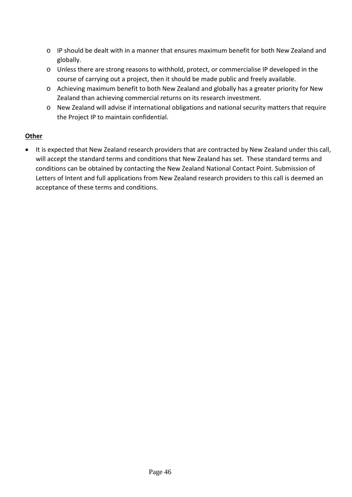- o IP should be dealt with in a manner that ensures maximum benefit for both New Zealand and globally.
- o Unless there are strong reasons to withhold, protect, or commercialise IP developed in the course of carrying out a project, then it should be made public and freely available.
- o Achieving maximum benefit to both New Zealand and globally has a greater priority for New Zealand than achieving commercial returns on its research investment.
- o New Zealand will advise if international obligations and national security matters that require the Project IP to maintain confidential.

### **Other**

• It is expected that New Zealand research providers that are contracted by New Zealand under this call, will accept the standard terms and conditions that New Zealand has set. These standard terms and conditions can be obtained by contacting the New Zealand National Contact Point. Submission of Letters of Intent and full applications from New Zealand research providers to this call is deemed an acceptance of these terms and conditions.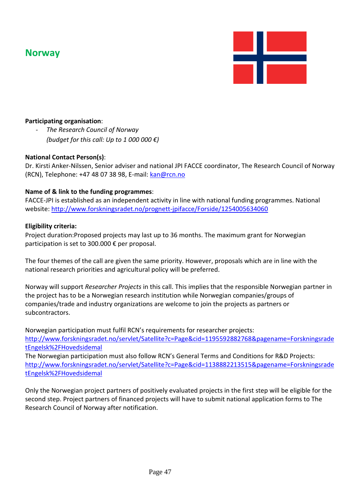# **Norway**



### **Participating organisation**:

- *The Research Council of Norway (budget for this call: Up to 1 000 000 €)*

#### **National Contact Person(s)**:

Dr. Kirsti Anker-Nilssen, Senior adviser and national JPI FACCE coordinator, The Research Council of Norway (RCN), Telephone: +47 48 07 38 98, E-mail[: kan@rcn.no](mailto:kan@rcn.no)

#### **Name of & link to the funding programmes**:

FACCE-JPI is established as an independent activity in line with national funding programmes. National website:<http://www.forskningsradet.no/prognett-jpifacce/Forside/1254005634060>

#### **Eligibility criteria:**

Project duration:Proposed projects may last up to 36 months. The maximum grant for Norwegian participation is set to 300.000 € per proposal.

The four themes of the call are given the same priority. However, proposals which are in line with the national research priorities and agricultural policy will be preferred.

Norway will support *Researcher Projects* in this call. This implies that the responsible Norwegian partner in the project has to be a Norwegian research institution while Norwegian companies/groups of companies/trade and industry organizations are welcome to join the projects as partners or subcontractors.

Norwegian participation must fulfil RCN's requirements for researcher projects: [http://www.forskningsradet.no/servlet/Satellite?c=Page&cid=1195592882768&pagename=Forskningsrade](http://www.forskningsradet.no/servlet/Satellite?c=Page&cid=1195592882768&pagename=ForskningsradetEngelsk%2FHovedsidemal) [tEngelsk%2FHovedsidemal](http://www.forskningsradet.no/servlet/Satellite?c=Page&cid=1195592882768&pagename=ForskningsradetEngelsk%2FHovedsidemal)

The Norwegian participation must also follow RCN's General Terms and Conditions for R&D Projects: [http://www.forskningsradet.no/servlet/Satellite?c=Page&cid=1138882213515&pagename=Forskningsrade](http://www.forskningsradet.no/servlet/Satellite?c=Page&cid=1138882213515&pagename=ForskningsradetEngelsk%2FHovedsidemal) [tEngelsk%2FHovedsidemal](http://www.forskningsradet.no/servlet/Satellite?c=Page&cid=1138882213515&pagename=ForskningsradetEngelsk%2FHovedsidemal)

Only the Norwegian project partners of positively evaluated projects in the first step will be eligible for the second step. Project partners of financed projects will have to submit national application forms to The Research Council of Norway after notification.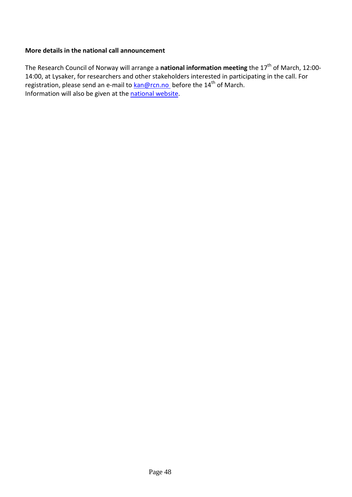### **More details in the national call announcement**

The Research Council of Norway will arrange a **national information meeting** the 17<sup>th</sup> of March, 12:00-14:00, at Lysaker, for researchers and other stakeholders interested in participating in the call. For registration, please send an e-mail to **kan@rcn.no** before the 14<sup>th</sup> of March. Information will also be given at th[e national website.](http://www.forskningsradet.no/prognett-jpifacce/Forside/1254005634060)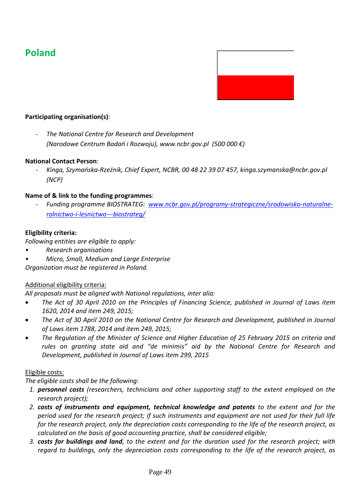# **Poland**



### **Participating organisation(s)**:

- *The National Centre for Research and Development (Narodowe Centrum Badań i Rozwoju), www.ncbr.gov.pl (500 000 €)*

#### **National Contact Person**:

- *Kinga, Szymańska-Rzeźnik, Chief Expert, NCBR, 00 48 22 39 07 457, kinga.szymanska@ncbr.gov.pl (NCP)*

#### **Name of & link to the funding programmes**:

- *Funding programme BIOSTRATEG: [www.ncbr.gov.pl/programy-strategiczne/srodowisko-naturalne](http://www.ncbr.gov.pl/programy-strategiczne/srodowisko-naturalne-rolnictwo-i-lesnictwo---biostrateg/)[rolnictwo-i-lesnictwo---biostrateg/](http://www.ncbr.gov.pl/programy-strategiczne/srodowisko-naturalne-rolnictwo-i-lesnictwo---biostrateg/)*

#### **Eligibility criteria:**

*Following entities are eligible to apply:*

- *• Research organisations*
- *• Micro, Small, Medium and Large Enterprise*

*Organization must be registered in Poland.*

#### Additional eligibility criteria:

*All proposals must be aligned with National regulations, inter alia:* 

- *The Act of 30 April 2010 on the Principles of Financing Science, published in Journal of Laws item 1620, 2014 and item 249, 2015;*
- *The Act of 30 April 2010 on the National Centre for Research and Development, published in Journal of Laws item 1788, 2014 and item 249, 2015;*
- *The Regulation of the Minister of Science and Higher Education of 25 February 2015 on criteria and rules on granting state aid and "de minimis" aid by the National Centre for Research and Development, published in Journal of Laws item 299, 2015*

#### Eligible costs:

*The eligible costs shall be the following:*

- *1. personnel costs (researchers, technicians and other supporting staff to the extent employed on the research project);*
- *2. costs of instruments and equipment, technical knowledge and patents to the extent and for the period used for the research project; if such instruments and equipment are not used for their full life for the research project, only the depreciation costs corresponding to the life of the research project, as calculated on the basis of good accounting practice, shall be considered eligible;*
- *3. costs for buildings and land, to the extent and for the duration used for the research project; with regard to buildings, only the depreciation costs corresponding to the life of the research project, as*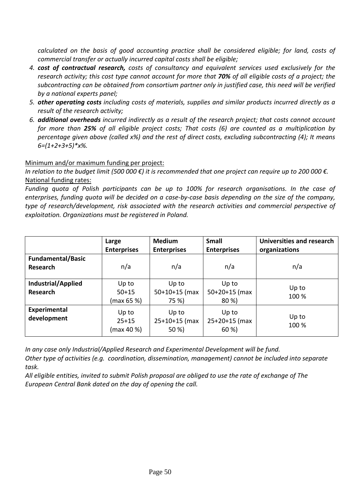*calculated on the basis of good accounting practice shall be considered eligible; for land, costs of commercial transfer or actually incurred capital costs shall be eligible;*

- *4. cost of contractual research, costs of consultancy and equivalent services used exclusively for the research activity; this cost type cannot account for more that 70% of all eligible costs of a project; the subcontracting can be obtained from consortium partner only in justified case, this need will be verified by a national experts panel;*
- *5. other operating costs including costs of materials, supplies and similar products incurred directly as a result of the research activity;*
- *6. additional overheads incurred indirectly as a result of the research project; that costs cannot account for more than 25% of all eligible project costs; That costs (6) are counted as a multiplication by percentage given above (called x%) and the rest of direct costs, excluding subcontracting (4); It means 6=(1+2+3+5)\*x%.*

### Minimum and/or maximum funding per project:

*In relation to the budget limit (500 000 €) it is recommended that one project can require up to 200 000 €.* National funding rates:

*Funding quota of Polish participants can be up to 100% for research organisations. In the case of enterprises, funding quota will be decided on a case-by-case basis depending on the size of the company, type of research/development, risk associated with the research activities and commercial perspective of exploitation. Organizations must be registered in Poland.*

|                                       | Large<br><b>Enterprises</b>      | <b>Medium</b><br><b>Enterprises</b> | <b>Small</b><br><b>Enterprises</b> | Universities and research<br>organizations |
|---------------------------------------|----------------------------------|-------------------------------------|------------------------------------|--------------------------------------------|
| <b>Fundamental/Basic</b><br>Research  | n/a                              | n/a                                 | n/a                                | n/a                                        |
| Industrial/Applied<br><b>Research</b> | Up to<br>$50 + 15$<br>(max 65 %) | Up to<br>$50+10+15$ (max<br>75 %)   | Up to<br>$50+20+15$ (max<br>80 %)  | Up to<br>100 %                             |
| Experimental<br>development           | Up to<br>$25 + 15$<br>(max 40 %) | Up to<br>$25+10+15$ (max<br>50 %)   | Up to<br>$25+20+15$ (max<br>60 %)  | Up to<br>100 %                             |

*In any case only Industrial/Applied Research and Experimental Development will be fund.*

*Other type of activities (e.g. coordination, dissemination, management) cannot be included into separate task.*

*All eligible entities, invited to submit Polish proposal are obliged to use the rate of exchange of The European Central Bank dated on the day of opening the call.*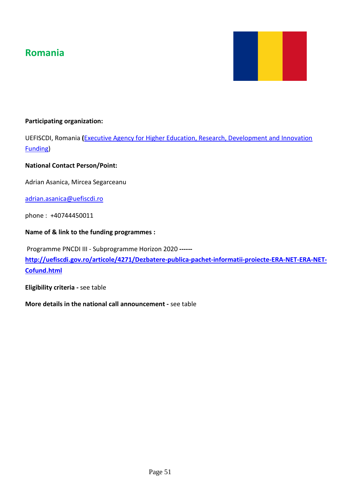# **Romania**



### **Participating organization:**

UEFISCDI, Romania **(**[Executive Agency for Higher Education, Research, Development and Innovation](http://en.uefiscdi.gov.ro/articole/2542/Executive-Agency-for-Higher-Education-Research-Development-and-Innovation-Funding.html)  [Funding\)](http://en.uefiscdi.gov.ro/articole/2542/Executive-Agency-for-Higher-Education-Research-Development-and-Innovation-Funding.html)

#### **National Contact Person/Point:**

Adrian Asanica, Mircea Segarceanu

[adrian.asanica@uefiscdi.ro](mailto:adrian.asanica@uefiscdi.ro)

phone : +40744450011

#### **Name of & link to the funding programmes :**

Programme PNCDI III - Subprogramme Horizon 2020 **----- [http://uefiscdi.gov.ro/articole/4271/Dezbatere-publica-pachet-informatii-proiecte-ERA-NET-ERA-NET-](http://uefiscdi.gov.ro/articole/4271/Dezbatere-publica-pachet-informatii-proiecte-ERA-NET-ERA-NET-Cofund.html)[Cofund.html](http://uefiscdi.gov.ro/articole/4271/Dezbatere-publica-pachet-informatii-proiecte-ERA-NET-ERA-NET-Cofund.html)**

**Eligibility criteria -** see table

**More details in the national call announcement -** see table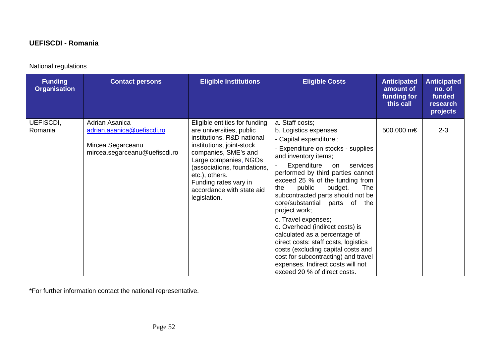### **UEFISCDI - Romania**

## National regulations

| <b>Funding</b><br><b>Organisation</b> | <b>Contact persons</b>                                                                             | <b>Eligible Institutions</b>                                                                                                                                                                                                                                                                 | <b>Eligible Costs</b>                                                                                                                                                                                                                                                                                                                                                                                                                                                                                                                                                                                                                                     | <b>Anticipated</b><br>amount of<br>funding for<br>this call | <b>Anticipated</b><br>no. of<br>funded<br>research<br>projects |
|---------------------------------------|----------------------------------------------------------------------------------------------------|----------------------------------------------------------------------------------------------------------------------------------------------------------------------------------------------------------------------------------------------------------------------------------------------|-----------------------------------------------------------------------------------------------------------------------------------------------------------------------------------------------------------------------------------------------------------------------------------------------------------------------------------------------------------------------------------------------------------------------------------------------------------------------------------------------------------------------------------------------------------------------------------------------------------------------------------------------------------|-------------------------------------------------------------|----------------------------------------------------------------|
| UEFISCDI,<br>Romania                  | Adrian Asanica<br>adrian.asanica@uefiscdi.ro<br>Mircea Segarceanu<br>mircea.segarceanu@uefiscdi.ro | Eligible entities for funding<br>are universities, public<br>institutions, R&D national<br>institutions, joint-stock<br>companies, SME's and<br>Large companies, NGOs<br>(associations, foundations,<br>etc.), others.<br>Funding rates vary in<br>accordance with state aid<br>legislation. | a. Staff costs;<br>b. Logistics expenses<br>- Capital expenditure ;<br>- Expenditure on stocks - supplies<br>and inventory items;<br>Expenditure<br>on<br>services<br>performed by third parties cannot<br>exceed 25 % of the funding from<br>budget.<br>public<br>The<br>the<br>subcontracted parts should not be<br>core/substantial parts of the<br>project work;<br>c. Travel expenses;<br>d. Overhead (indirect costs) is<br>calculated as a percentage of<br>direct costs: staff costs, logistics<br>costs (excluding capital costs and<br>cost for subcontracting) and travel<br>expenses. Indirect costs will not<br>exceed 20 % of direct costs. | 500.000 m€                                                  | $2 - 3$                                                        |

\*For further information contact the national representative.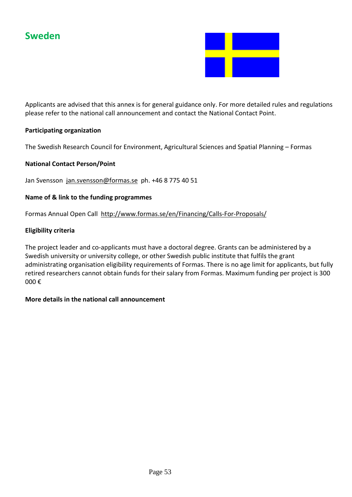

Applicants are advised that this annex is for general guidance only. For more detailed rules and regulations please refer to the national call announcement and contact the National Contact Point.

### **Participating organization**

The Swedish Research Council for Environment, Agricultural Sciences and Spatial Planning – Formas

### **National Contact Person/Point**

Jan Svensson [jan.svensson@formas.se](mailto:jan.svensson@formas.se) ph. +46 8 775 40 51

### **Name of & link to the funding programmes**

Formas Annual Open Call<http://www.formas.se/en/Financing/Calls-For-Proposals/>

### **Eligibility criteria**

The project leader and co-applicants must have a doctoral degree. Grants can be administered by a Swedish university or university college, or other Swedish public institute that fulfils the grant administrating organisation eligibility requirements of Formas. There is no age limit for applicants, but fully retired researchers cannot obtain funds for their salary from Formas. Maximum funding per project is 300 000 €

#### **More details in the national call announcement**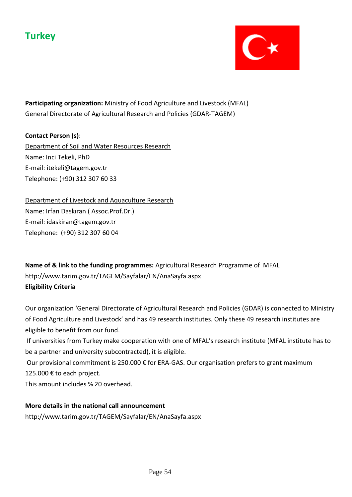# **Turkey**



**Participating organization:** Ministry of Food Agriculture and Livestock (MFAL) General Directorate of Agricultural Research and Policies (GDAR-TAGEM)

### **Contact Person (s)**:

Department of Soil and Water Resources Research Name: Inci Tekeli, PhD E-mail: itekeli@tagem.gov.tr Telephone: (+90) 312 307 60 33

Department of Livestock and Aquaculture Research Name: Irfan Daskıran ( Assoc.Prof.Dr.) E-mail: idaskiran@tagem.gov.tr Telephone: (+90) 312 307 60 04

**Name of & link to the funding programmes:** Agricultural Research Programme of MFAL http://www.tarim.gov.tr/TAGEM/Sayfalar/EN/AnaSayfa.aspx **Eligibility Criteria**

Our organization 'General Directorate of Agricultural Research and Policies (GDAR) is connected to Ministry of Food Agriculture and Livestock' and has 49 research institutes. Only these 49 research institutes are eligible to benefit from our fund.

If universities from Turkey make cooperation with one of MFAL's research institute (MFAL institute has to be a partner and university subcontracted), it is eligible.

Our provisional commitment is 250.000 € for ERA-GAS. Our organisation prefers to grant maximum 125.000 € to each project.

This amount includes % 20 overhead.

**More details in the national call announcement** http://www.tarim.gov.tr/TAGEM/Sayfalar/EN/AnaSayfa.aspx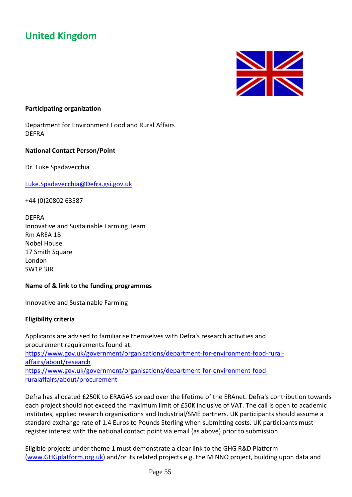# **United Kingdom**



#### **Participating organization**

Department for Environment Food and Rural Affairs DEFRA

### **National Contact Person/Point**

Dr. Luke Spadavecchia

[Luke.Spadavecchia@Defra.gsi.gov.uk](mailto:Luke.Spadavecchia@Defra.gsi.gov.uk)

+44 (0)20802 63587

DEFRA Innovative and Sustainable Farming Team Rm AREA 1B Nobel House 17 Smith Square London SW1P 3JR

#### **Name of & link to the funding programmes**

Innovative and Sustainable Farming

#### **Eligibility criteria**

Applicants are advised to familiarise themselves with Defra's research activities and procurement requirements found at: [https://www.gov.uk/government/organisations/department-for-environment-food-rural](https://www.gov.uk/government/organisations/department-for-environment-food-rural-affairs/about/research)[affairs/about/research](https://www.gov.uk/government/organisations/department-for-environment-food-rural-affairs/about/research) [https://www.gov.uk/government/organisations/department-for-environment-food](https://www.gov.uk/government/organisations/department-for-environment-food-ruralaffairs/about/procurement)[ruralaffairs/about/procurement](https://www.gov.uk/government/organisations/department-for-environment-food-ruralaffairs/about/procurement)

Defra has allocated £250K to ERAGAS spread over the lifetime of the ERAnet. Defra's contribution towards each project should not exceed the maximum limit of £50K inclusive of VAT. The call is open to academic institutes, applied research organisations and Industrial/SME partners. UK participants should assume a standard exchange rate of 1.4 Euros to Pounds Sterling when submitting costs. UK participants must register interest with the national contact point via email (as above) prior to submission.

Eligible projects under theme 1 must demonstrate a clear link to the GHG R&D Platform [\(www.GHGplatform.org.uk\)](http://www.ghgplatform.org.uk/) and/or its related projects e.g. the MINNO project, building upon data and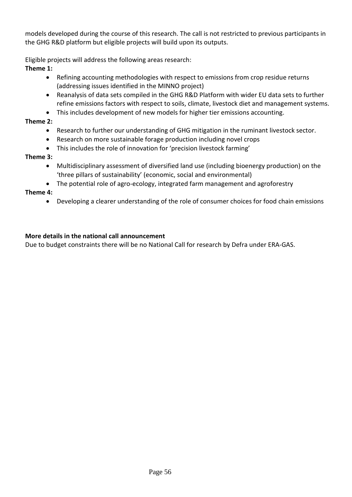models developed during the course of this research. The call is not restricted to previous participants in the GHG R&D platform but eligible projects will build upon its outputs.

Eligible projects will address the following areas research:

**Theme 1:** 

- Refining accounting methodologies with respect to emissions from crop residue returns (addressing issues identified in the MINNO project)
- Reanalysis of data sets compiled in the GHG R&D Platform with wider EU data sets to further refine emissions factors with respect to soils, climate, livestock diet and management systems.
- This includes development of new models for higher tier emissions accounting.

### **Theme 2:**

- Research to further our understanding of GHG mitigation in the ruminant livestock sector.
- Research on more sustainable forage production including novel crops
- This includes the role of innovation for 'precision livestock farming'

### **Theme 3:**

- Multidisciplinary assessment of diversified land use (including bioenergy production) on the 'three pillars of sustainability' (economic, social and environmental)
- The potential role of agro-ecology, integrated farm management and agroforestry

### **Theme 4:**

• Developing a clearer understanding of the role of consumer choices for food chain emissions

### **More details in the national call announcement**

Due to budget constraints there will be no National Call for research by Defra under ERA-GAS.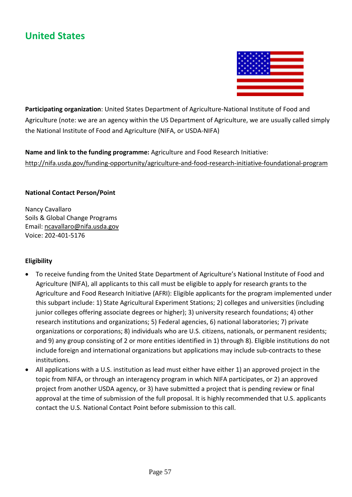# **United States**



**Participating organization**: United States Department of Agriculture-National Institute of Food and Agriculture (note: we are an agency within the US Department of Agriculture, we are usually called simply the National Institute of Food and Agriculture (NIFA, or USDA-NIFA)

**Name and link to the funding programme:** Agriculture and Food Research Initiative: <http://nifa.usda.gov/funding-opportunity/agriculture-and-food-research-initiative-foundational-program>

### **National Contact Person/Point**

Nancy Cavallaro Soils & Global Change Programs Email: [ncavallaro@nifa.usda.gov](mailto:ncavallaro@nifa.usda.gov) Voice: 202-401-5176

### **Eligibility**

- To receive funding from the United State Department of Agriculture's National Institute of Food and Agriculture (NIFA), all applicants to this call must be eligible to apply for research grants to the Agriculture and Food Research Initiative (AFRI): Eligible applicants for the program implemented under this subpart include: 1) State Agricultural Experiment Stations; 2) colleges and universities (including junior colleges offering associate degrees or higher); 3) university research foundations; 4) other research institutions and organizations; 5) Federal agencies, 6) national laboratories; 7) private organizations or corporations; 8) individuals who are U.S. citizens, nationals, or permanent residents; and 9) any group consisting of 2 or more entities identified in 1) through 8). Eligible institutions do not include foreign and international organizations but applications may include sub-contracts to these institutions.
- All applications with a U.S. institution as lead must either have either 1) an approved project in the topic from NIFA, or through an interagency program in which NIFA participates, or 2) an approved project from another USDA agency, or 3) have submitted a project that is pending review or final approval at the time of submission of the full proposal. It is highly recommended that U.S. applicants contact the U.S. National Contact Point before submission to this call.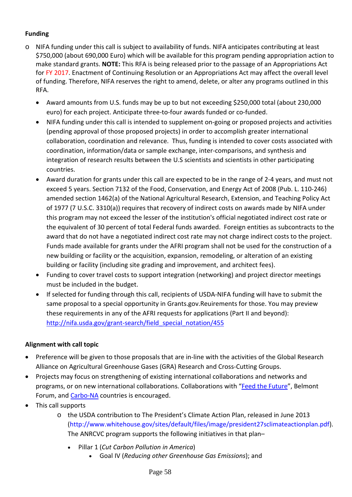### **Funding**

- o NIFA funding under this call is subject to availability of funds. NIFA anticipates contributing at least \$750,000 (about 690,000 Euro) which will be available for this program pending appropriation action to make standard grants. **NOTE:** This RFA is being released prior to the passage of an Appropriations Act for FY 2017. Enactment of Continuing Resolution or an Appropriations Act may affect the overall level of funding. Therefore, NIFA reserves the right to amend, delete, or alter any programs outlined in this RFA.
	- Award amounts from U.S. funds may be up to but not exceeding \$250,000 total (about 230,000 euro) for each project. Anticipate three-to-four awards funded or co-funded.
	- NIFA funding under this call is intended to supplement on-going or proposed projects and activities (pending approval of those proposed projects) in order to accomplish greater international collaboration, coordination and relevance. Thus, funding is intended to cover costs associated with coordination, information/data or sample exchange, inter-comparisons, and synthesis and integration of research results between the U.S scientists and scientists in other participating countries.
	- Award duration for grants under this call are expected to be in the range of 2-4 years, and must not exceed 5 years. Section 7132 of the Food, Conservation, and Energy Act of 2008 (Pub. L. 110-246) amended section 1462(a) of the National Agricultural Research, Extension, and Teaching Policy Act of 1977 (7 U.S.C. 3310(a)) requires that recovery of indirect costs on awards made by NIFA under this program may not exceed the lesser of the institution's official negotiated indirect cost rate or the equivalent of 30 percent of total Federal funds awarded. Foreign entities as subcontracts to the award that do not have a negotiated indirect cost rate may not charge indirect costs to the project. Funds made available for grants under the AFRI program shall not be used for the construction of a new building or facility or the acquisition, expansion, remodeling, or alteration of an existing building or facility (including site grading and improvement, and architect fees).
	- Funding to cover travel costs to support integration (networking) and project director meetings must be included in the budget.
	- If selected for funding through this call, recipients of USDA-NIFA funding will have to submit the same proposal to a special opportunity in Grants.gov.Reuirements for those. You may preview these requirements in any of the AFRI requests for applications (Part II and beyond): [http://nifa.usda.gov/grant-search/field\\_special\\_notation/455](http://nifa.usda.gov/grant-search/field_special_notation/455)

### **Alignment with call topic**

- Preference will be given to those proposals that are in-line with the activities of the Global Research Alliance on Agricultural Greenhouse Gases (GRA) Research and Cross-Cutting Groups.
- Projects may focus on strengthening of existing international collaborations and networks and programs, or on new international collaborations. Collaborations with ["Feed the Future"](http://feedthefuture.gov/), Belmont Forum, and [Carbo-NA](http://nacarbon.org/carbona/index.htm) countries is encouraged.
- This call supports
	- o the USDA contribution to The President's Climate Action Plan, released in June 2013 (http://www.whitehouse.gov/sites/default/files/image/president27sclimateactionplan.pdf). The ANRCVC program supports the following initiatives in that plan–
		- Pillar 1 (*Cut Carbon Pollution in America*)
			- Goal IV (*Reducing other Greenhouse Gas Emissions*); and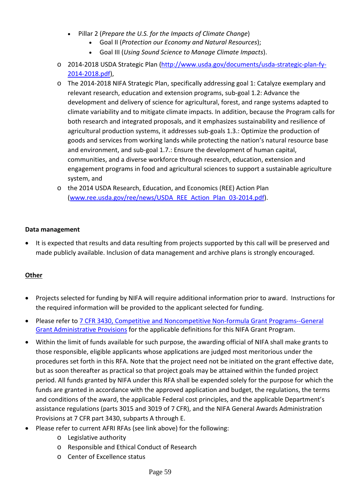- Pillar 2 (*Prepare the U.S. for the Impacts of Climate Change*)
	- Goal II (*Protection our Economy and Natural Resources*);
	- Goal III (*Using Sound Science to Manage Climate Impacts*).
- o 2014-2018 USDA Strategic Plan [\(http://www.usda.gov/documents/usda-strategic-plan-fy-](http://www.usda.gov/documents/usda-strategic-plan-fy-2014-2018.pdf)[2014-2018.pdf\)](http://www.usda.gov/documents/usda-strategic-plan-fy-2014-2018.pdf),
- o The 2014-2018 NIFA Strategic Plan, specifically addressing goal 1: Catalyze exemplary and relevant research, education and extension programs, sub-goal 1.2: Advance the development and delivery of science for agricultural, forest, and range systems adapted to climate variability and to mitigate climate impacts. In addition, because the Program calls for both research and integrated proposals, and it emphasizes sustainability and resilience of agricultural production systems, it addresses sub-goals 1.3.: Optimize the production of goods and services from working lands while protecting the nation's natural resource base and environment, and sub-goal 1.7.: Ensure the development of human capital, communities, and a diverse workforce through research, education, extension and engagement programs in food and agricultural sciences to support a sustainable agriculture system, and
- o the 2014 USDA Research, Education, and Economics (REE) Action Plan [\(www.ree.usda.gov/ree/news/USDA\\_REE\\_Action\\_Plan\\_03-2014.pdf\)](http://www.ree.usda.gov/ree/news/USDA_REE_Action_Plan_03-2014.pdf).

### **Data management**

• It is expected that results and data resulting from projects supported by this call will be preserved and made publicly available. Inclusion of data management and archive plans is strongly encouraged.

### **Other**

- Projects selected for funding by NIFA will require additional information prior to award. Instructions for the required information will be provided to the applicant selected for funding.
- Please refer to [7 CFR 3430, Competitive and Noncompetitive Non-formula Grant Programs--General](http://ecfr.gpoaccess.gov/cgi/t/text/text-idx?c=ecfr&sid=15132e1290d5f59d29c80fe381fa1f20&rgn=div5&view=text&node=7:15.1.11.2.13&idno=7)  [Grant Administrative Provisions](http://ecfr.gpoaccess.gov/cgi/t/text/text-idx?c=ecfr&sid=15132e1290d5f59d29c80fe381fa1f20&rgn=div5&view=text&node=7:15.1.11.2.13&idno=7) for the applicable definitions for this NIFA Grant Program.
- Within the limit of funds available for such purpose, the awarding official of NIFA shall make grants to those responsible, eligible applicants whose applications are judged most meritorious under the procedures set forth in this RFA. Note that the project need not be initiated on the grant effective date, but as soon thereafter as practical so that project goals may be attained within the funded project period. All funds granted by NIFA under this RFA shall be expended solely for the purpose for which the funds are granted in accordance with the approved application and budget, the regulations, the terms and conditions of the award, the applicable Federal cost principles, and the applicable Department's assistance regulations (parts 3015 and 3019 of 7 CFR), and the NIFA General Awards Administration Provisions at 7 CFR part 3430, subparts A through E.
- Please refer to current AFRI RFAs (see link above) for the following:
	- o Legislative authority
	- o Responsible and Ethical Conduct of Research
	- o Center of Excellence status